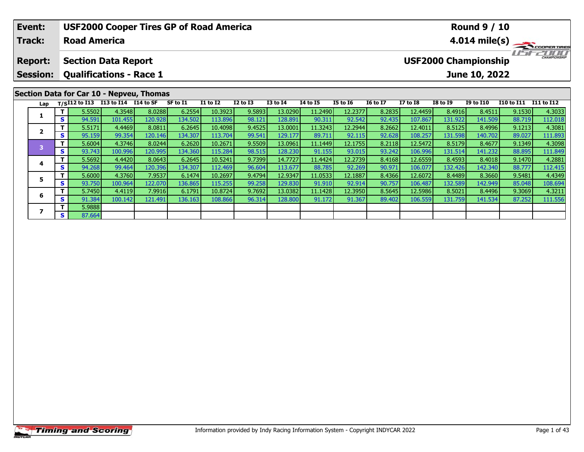| Event:                  |                                |                                    |         | <b>USF2000 Cooper Tires GP of Road America</b> |          |          |              |                 |                 | <b>Round 9 / 10</b> |                 |                 |                                                    |                  |            |            |  |  |  |
|-------------------------|--------------------------------|------------------------------------|---------|------------------------------------------------|----------|----------|--------------|-----------------|-----------------|---------------------|-----------------|-----------------|----------------------------------------------------|------------------|------------|------------|--|--|--|
| <b>Track:</b>           |                                | <b>Road America</b>                |         |                                                |          |          |              |                 |                 |                     |                 |                 | $4.014 \text{ mile(s)}$                            |                  |            |            |  |  |  |
| <b>Report:</b>          | <b>Section Data Report</b>     |                                    |         |                                                |          |          |              |                 |                 |                     |                 |                 | <b>CHAMPIONSHIP</b><br><b>USF2000 Championship</b> |                  |            |            |  |  |  |
| <b>Session:</b>         | <b>Qualifications - Race 1</b> |                                    |         |                                                |          |          |              |                 |                 | June 10, 2022       |                 |                 |                                                    |                  |            |            |  |  |  |
|                         |                                |                                    |         | Section Data for Car 10 - Nepveu, Thomas       |          |          |              |                 |                 |                     |                 |                 |                                                    |                  |            |            |  |  |  |
| Lap                     |                                | T/SI12 to I13 I13 to I14 I14 to SF |         |                                                | SF to I1 | I1 to I2 | $I2$ to $I3$ | <b>I3 to I4</b> | <b>I4 to I5</b> | <b>I5 to 16</b>     | <b>16 to 17</b> | <b>I7 to I8</b> | <b>I8 to 19</b>                                    | <b>I9 to I10</b> | I10 to I11 | I11 to I12 |  |  |  |
| 1                       |                                | 5.5502                             | 4.3548  | 8.0288                                         | 6.2554   | 10.3923  | 9.5893       | 13.0290         | 11.2490         | 12.2377             | 8.2835          | 12.4459         | 8.4916                                             | 8.4511           | 9.1530     | 4.3033     |  |  |  |
|                         | s l                            | 94.591                             | 101.455 | 120.928                                        | 134.502  | 113.896  | 98.121       | 128.891         | 90.311          | 92.542              | 92.435          | 107.867         | 131.922                                            | 141.509          | 88.719     | 112.018    |  |  |  |
| $\overline{\mathbf{z}}$ |                                | 5.5171                             | 4.4469  | 8.0811                                         | 6.2645   | 10.4098  | 9.4525       | 13.0001         | 11.3243         | 12.2944             | 8.2662          | 12.4011         | 8.5125                                             | 8.4996           | 9.1213     | 4.3081     |  |  |  |
|                         | <b>s</b> l                     | 95.159                             | 99.354  | 120.146                                        | 134.307  | 113.704  | 99.541       | 129.177         | 89.711          | 92.115              | 92.628          | 108.257         | 131.598                                            | 140.702          | 89.027     | 111.893    |  |  |  |
| $\overline{\mathbf{3}}$ |                                | 5.6004                             | 4.3746  | 8.0244                                         | 6.2620   | 10.2671  | 9.5509       | 13.0961         | 11.1449         | 12.1755             | 8.2118          | 12.5472         | 8.5179                                             | 8.4677           | 9.1349     | 4.3098     |  |  |  |
|                         | -s l                           | 93.743                             | 100.996 | 120.995                                        | 134.360  | 115.284  | 98.515       | 128.230         | 91.155          | 93.015              | 93.242          | 106.996         | 131.514                                            | 141.232          | 88.895     | 111.849    |  |  |  |
| 4                       |                                | 5.5692                             | 4.4420  | 8.0643                                         | 6.2645   | 10.5241  | 9.7399       | 14.7727         | 11.4424         | 12.2739             | 8.4168          | 12.6559         | 8.4593                                             | 8.4018           | 9.1470     | 4.2881     |  |  |  |
|                         | s l                            | 94.268                             | 99.464  | 120.396                                        | 134.307  | 112.469  | 96.604       | 113.677         | 88.785          | 92.269              | 90.971          | 106.077         | 132.426                                            | 142.340          | 88.777     | 112.415    |  |  |  |

**<sup>T</sup>** 5.6000 4.3760 7.9537 6.1474 10.2697 9.4794 12.9347 11.0533 12.1887 8.4366 12.6072 8.4489 8.3660 9.5481 4.4349 **<sup>S</sup>** 93.750 100.964 122.070 136.865 115.255 99.258 129.830 91.910 92.914 90.757 106.487 132.589 142.949 85.048 108.694

**<sup>T</sup>** 5.7450 4.4119 7.9916 6.1791 10.8724 9.7692 13.0382 11.1428 12.3950 8.5645 12.5986 8.5021 8.4496 9.3069 4.3211 **<sup>S</sup>** 91.384 100.142 121.491 136.163 108.866 96.314 128.800 91.172 91.367 89.402 106.559 131.759 141.534 87.252 111.556

## **Timing and Scoring**

**5**

**6**

**7**

**7 S** 5.9888

112.415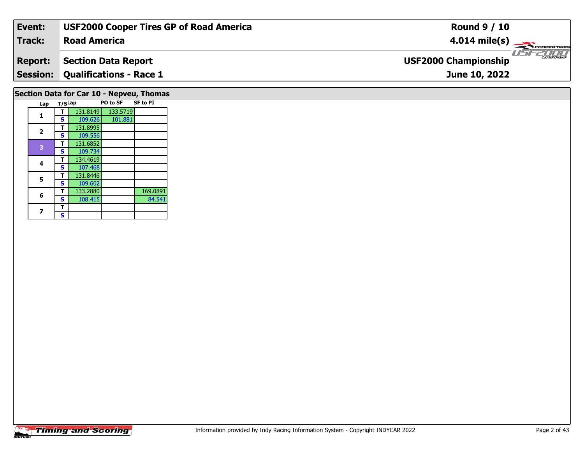| Event:                                   | <b>USF2000 Cooper Tires GP of Road America</b> | <b>Round 9 / 10</b>                                |  |  |  |  |  |  |  |
|------------------------------------------|------------------------------------------------|----------------------------------------------------|--|--|--|--|--|--|--|
| <b>Track:</b>                            | <b>Road America</b>                            | $4.014 \text{ mile(s)}$                            |  |  |  |  |  |  |  |
| <b>Report:</b>                           | <b>Section Data Report</b>                     | <b>CHAMPIONSHIP</b><br><b>USF2000 Championship</b> |  |  |  |  |  |  |  |
|                                          | <b>Session: Qualifications - Race 1</b>        | June 10, 2022                                      |  |  |  |  |  |  |  |
| Section Data for Car 10 - Nepveu, Thomas |                                                |                                                    |  |  |  |  |  |  |  |

|                | <b>Timing and Scoring</b> |
|----------------|---------------------------|
| <b>INDYCAR</b> |                           |

**Lap T/SLap PO to SF SF to PI** 

**<sup>T</sup>** 131.8149 133.5719 **<sup>S</sup>** 109.626 101.881

 **<sup>T</sup>** 131.8995 **<sup>S</sup>** 109.556109.556 **<sup>T</sup>** 131.6852 **<sup>S</sup>** 109.734

107.468

**<sup>T</sup>** 134.4619 **<sup>S</sup>** 107.468

**5 T** 131.8446<br>**S** 109.602

 $\overline{\mathbf{T}}$  $\mathbf{s}$  101.881

**T** 133.2880 169.0891<br> **S** 108.415 84.541

**1**

**2**

**4**

**5**

**6**

**7**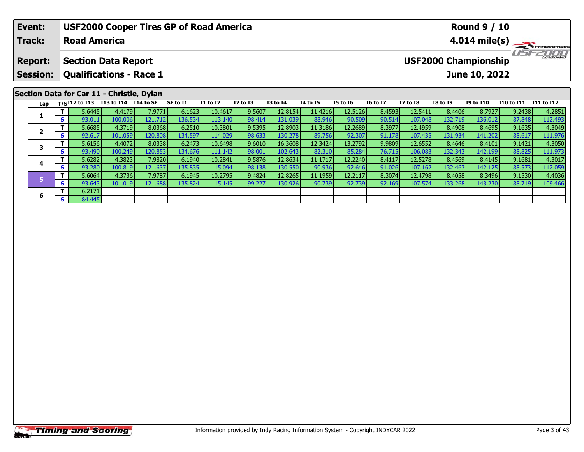|                                              | Event:<br><b>Track:</b> |          | <b>Road America</b>                       |            | <b>USF2000 Cooper Tires GP of Road America</b> |          |                 |              | <b>Round 9 / 10</b><br>$4.014 \text{ mile(s)}$ |                 |                 |                                                    |                 |                 |                  |                   |            |
|----------------------------------------------|-------------------------|----------|-------------------------------------------|------------|------------------------------------------------|----------|-----------------|--------------|------------------------------------------------|-----------------|-----------------|----------------------------------------------------|-----------------|-----------------|------------------|-------------------|------------|
| <b>Section Data Report</b><br><b>Report:</b> |                         |          |                                           |            |                                                |          |                 |              |                                                |                 |                 | <b>CHAMPIONSHIP</b><br><b>USF2000 Championship</b> |                 |                 |                  |                   |            |
|                                              | <b>Session:</b>         |          | <b>Qualifications - Race 1</b>            |            |                                                |          |                 |              |                                                |                 |                 |                                                    |                 |                 | June 10, 2022    |                   |            |
|                                              |                         |          | Section Data for Car 11 - Christie, Dylan |            |                                                |          |                 |              |                                                |                 |                 |                                                    |                 |                 |                  |                   |            |
|                                              | Lap                     |          | $T/SI12$ to $I13$                         | I13 to I14 | I14 to SF                                      | SF to I1 | <b>I1 to I2</b> | $I2$ to $I3$ | <b>I3 to I4</b>                                | <b>I4 to I5</b> | <b>I5 to 16</b> | <b>16 to 17</b>                                    | <b>I7 to I8</b> | <b>I8 to 19</b> | <b>I9 to I10</b> | <b>I10 to I11</b> | I11 to I12 |
|                                              |                         |          | 5.6445                                    | 4.4179     | 7.9771                                         | 6.1623   | 10.4617         | 9.5607       | 12.8154                                        | 11.4216         | 12.5126         | 8.4593                                             | 12.5411         | 8.4406          | 8.7927           | 9.2438            | 4.2851     |
|                                              |                         | s l      | 93.011                                    | 100.006    | 121.712                                        | 136.534  | 113.140         | 98.414       | 131.039                                        | 88.946          | 90.509          | 90.514                                             | 107.048         | 132.719         | 136.012          | 87.848            | 112.493    |
|                                              | $\overline{2}$          |          | 5.6685                                    | 4.3719     | 8.0368                                         | 6.2510   | 10.3801         | 9.5395       | 12.8903                                        | 11.3186         | 12.2689         | 8.3977                                             | 12.4959         | 8.4908          | 8.4695           | 9.1635            | 4.3049     |
|                                              |                         | s l      | 92.617                                    | 101.059    | 120.808                                        | 134.597  | 114.029         | 98.633       | 130.278                                        | 89.756          | 92.307          | 91.178                                             | 107.435         | 131.934         | 141.202          | 88.617            | 111.976    |
|                                              | 3                       |          | 5.6156                                    | 4.4072     | 8.0338                                         | 6.2473   | 10.6498         | 9.6010       | 16.3608                                        | 12.3424         | 13.2792         | 9.9809                                             | 12.6552         | 8.4646          | 8.4101           | 9.1421            | 4.3050     |
|                                              |                         | <b>S</b> | 93.490                                    | 100.249    | 120.853                                        | 134.676  | 111.142         | 98.001       | 102.643                                        | 82.310          | 85.284          | 76.715                                             | 106.083         | 132.343         | 142.199          | 88.825            | 111.973    |
|                                              |                         |          | 5.6282                                    | 4.3823     | 7.9820                                         | 6.1940   | 10.2841         | 9.5876       | 12.8634                                        | 11.1717         | 12.2240         | 8.4117                                             | 12.5278         | 8.4569          | 8.4145           | 9.1681            | 4.3017     |

| S                 | 93.011 | 100.006 | 121.712  | 136.534  | 113.140 | 98.414 | 131.039 | 88.946  | 90.509  | 90.514 | 107.048 | 132.719 | 136.012 | 87.848 | 112.493 |
|-------------------|--------|---------|----------|----------|---------|--------|---------|---------|---------|--------|---------|---------|---------|--------|---------|
|                   | 5.6685 | 4.3719  | 8.0368   | 6.2510   | 10.3801 | 9.5395 | 12.8903 | 11.3186 | 12.2689 | 8.3977 | 12.4959 | 8.4908  | 8.4695  | 9.1635 | 4.3049  |
| S.                | 92.617 | 101.059 | 120.8081 | 134.5971 | 114.029 | 98.633 | 130.278 | 89.756  | 92.307  | 91.178 | 107.435 | 131.934 | 141.202 | 88.617 | 111.976 |
|                   | 5.6156 | 4.4072  | 8.0338   | 6.2473   | 10.6498 | 9.6010 | 16.3608 | 12.3424 | 13.2792 | 9.9809 | 12.6552 | 8.4646  | 8.4101  | 9.1421 | 4.3050  |
| <b>S</b>          | 93.490 | 100.249 | 120.8531 | 134.676  | 111.142 | 98.001 | 102.643 | 82.310  | 85.284  | 76.715 | 106.083 | 132.343 | 142.199 | 88.825 | 111.973 |
|                   | 5.6282 | 4.3823  | 7.9820   | 6.1940   | 10.2841 | 9.5876 | 12.8634 | 11.1717 | 12.2240 | 8.4117 | 12.5278 | 8.4569  | 8.4145  | 9.1681 | 4.3017  |
| $\mathbf{C}$<br>э | 93.280 | 100.819 | 121.637  | 135.835  | 115.094 | 98.138 | 130.550 | 90.936  | 92.646  | 91.026 | 107.162 | 132.463 | 142.125 | 88.573 | 112.059 |
|                   | 5.6064 | 4.3736  | 7.9787   | 6.1945   | 10.2795 | 9.4824 | 12.8265 | 11.1959 | 12.2117 | 8.3074 | 12.4798 | 8.4058  | 8.3496  | 9.1530 | 4.4036  |
| <b>S</b>          | 93.643 | 101.019 | 121.688  | 135.824  | 115.145 | 99.227 | 130.926 | 90.739  | 92.739  | 92.169 | 107.574 | 133.268 | 143.230 | 88.719 | 109.466 |
|                   | 6.2171 |         |          |          |         |        |         |         |         |        |         |         |         |        |         |
| <b>S</b>          | 84.445 |         |          |          |         |        |         |         |         |        |         |         |         |        |         |
|                   |        |         |          |          |         |        |         |         |         |        |         |         |         |        |         |
|                   |        |         |          |          |         |        |         |         |         |        |         |         |         |        |         |

**4**

**6**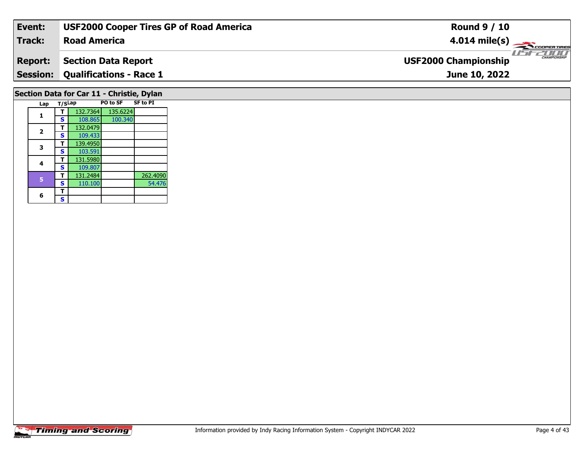| Event:                                    | <b>USF2000 Cooper Tires GP of Road America</b> | <b>Round 9 / 10</b>                                |  |  |  |  |  |  |  |
|-------------------------------------------|------------------------------------------------|----------------------------------------------------|--|--|--|--|--|--|--|
| <b>Track:</b>                             | <b>Road America</b>                            | $4.014 \text{ mile(s)}$                            |  |  |  |  |  |  |  |
| <b>Report:</b>                            | <b>Section Data Report</b>                     | <b>CHAMPIONSHIP</b><br><b>USF2000 Championship</b> |  |  |  |  |  |  |  |
| <b>Session:</b>                           | <b>Qualifications - Race 1</b>                 | June 10, 2022                                      |  |  |  |  |  |  |  |
| Section Data for Car 11 - Christie, Dylan |                                                |                                                    |  |  |  |  |  |  |  |

| Lap |                            |          |          | <b>SF to PI</b> |
|-----|----------------------------|----------|----------|-----------------|
|     |                            | 132.7364 | 135.6224 |                 |
|     | s                          | 108.865  | 100.340  |                 |
|     |                            | 132.0479 |          |                 |
|     | s                          | 109.433  |          |                 |
|     | т                          | 139.4950 |          |                 |
|     | s                          | 103.591  |          |                 |
|     |                            | 131.5980 |          |                 |
|     | s                          | 109.807  |          |                 |
|     |                            | 131.2484 |          | 262.4090        |
|     | S                          | 110.100  |          | 54.476          |
|     | т                          |          |          |                 |
|     | S                          |          |          |                 |
|     | 1<br>2<br>3<br>4<br>5<br>6 |          | T/SLap   | PO to SF        |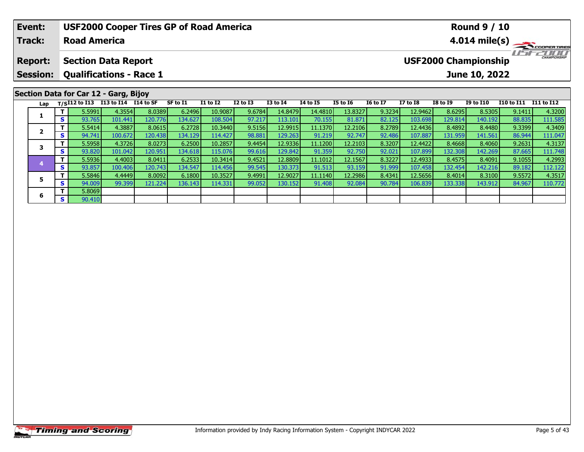| Event:                                                                                                                                            |        |                     | <b>USF2000 Cooper Tires GP of Road America</b>  |         |          |                 |              |                 |                 |                 | <b>Round 9 / 10</b> |                         |                                 |                  |                   |            |  |
|---------------------------------------------------------------------------------------------------------------------------------------------------|--------|---------------------|-------------------------------------------------|---------|----------|-----------------|--------------|-----------------|-----------------|-----------------|---------------------|-------------------------|---------------------------------|------------------|-------------------|------------|--|
| <b>Track:</b>                                                                                                                                     |        | <b>Road America</b> |                                                 |         |          |                 |              |                 |                 |                 |                     | $4.014 \text{ mile(s)}$ |                                 |                  |                   |            |  |
| <b>USF2000 Championship</b><br><b>Section Data Report</b><br><b>Report:</b><br><b>Qualifications - Race 1</b><br><b>Session:</b><br>June 10, 2022 |        |                     |                                                 |         |          |                 |              |                 |                 |                 |                     |                         | TITTITTI<br><b>CHAMPIONSHIP</b> |                  |                   |            |  |
|                                                                                                                                                   |        |                     |                                                 |         |          |                 |              |                 |                 |                 |                     |                         |                                 |                  |                   |            |  |
|                                                                                                                                                   |        |                     | Section Data for Car 12 - Garg, Bijoy           |         |          |                 |              |                 |                 |                 |                     |                         |                                 |                  |                   |            |  |
| Lap                                                                                                                                               |        |                     | T/SI12 to I13 I13 to I14 $\overline{114}$ to SF |         | SF to I1 | <b>I1 to I2</b> | $I2$ to $I3$ | <b>I3 to I4</b> | <b>I4 to I5</b> | <b>I5 to 16</b> | <b>16 to 17</b>     | <b>I7 to I8</b>         | <b>I8 to I9</b>                 | <b>I9 to I10</b> | <b>I10 to I11</b> | I11 to I12 |  |
| 1                                                                                                                                                 |        | 5.5991              | 4.3554                                          | 8.0389  | 6.2496   | 10.9087         | 9.6784       | 14.8479         | 14.4810         | 13.8327         | 9.3234              | 12.9462                 | 8.6295                          | 8.5305           | 9.1411            | 4.3200     |  |
|                                                                                                                                                   | s l    | 93.765              | 101.441                                         | 120.776 | 134.627  | 108.504         | 97.217       | 113.101         | 70.155          | 81.871          | 82.125              | 103.698                 | 129.814                         | 140.192          | 88.835            | 111.585    |  |
| $\overline{2}$                                                                                                                                    |        | 5.5414              | 4.3887                                          | 8.0615  | 6.2728   | 10.3440         | 9.5156       | 12.9915         | 11.1370         | 12.2106         | 8.2789              | 12.4436                 | 8.4892                          | 8.4480           | 9.3399            | 4.3409     |  |
|                                                                                                                                                   | s l    | 94.741              | 100.672                                         | 120.438 | 134.129  | 114.427         | 98.881       | 129.263         | 91.219          | 92.747          | 92.486              | 107.887                 | 131.959                         | 141.561          | 86.944            | 111.047    |  |
| 3                                                                                                                                                 | 5.5958 |                     | 4.3726                                          | 8.0273  | 6.2500   | 10.2857         | 9.4454       | 12.9336         | 11.1200         | 12.2103         | 8.3207              | 12.4422                 | 8.4668                          | 8.4060           | 9.2631            | 4.3137     |  |
|                                                                                                                                                   | S.     | 93.820              | 101.042                                         | 120.951 | 134.618  | 115.076         | 99.616       | 129.842         | 91.359          | 92.750          | 92.021              | 107.899                 | 132.308                         | 142.269          | 87.665            | 111.748    |  |

4 T 5.5936 4.4003 8.0411 6.2533 10.3414 9.4521 12.8809 11.1012 12.1567 8.3227 12.4933 8.4575 8.4091 9.1055 4.2993<br>S 93.857 100.406 120.743 134.547 114.456 99.545 130.373 91.513 93.159 91.999 107.458 132.454 142.216 89.182

5 TT 5.5846| 4.4449| 8.0092| 6.1800| 10.3527| 9.4991| 12.9027| 11.1140| 12.2986| 8.4341| 12.5656| 8.4014| 8.3100| 9.5572| 4.3517<br>| ST 94.009| 99.399| 121.224| 136.143| 114.331| 99.052| 130.152| 91.408| 92.084| 90.784| 106.

**4**

**5**

**6**

**T** 5.8069<br>**S** 90.410

111.748

112.122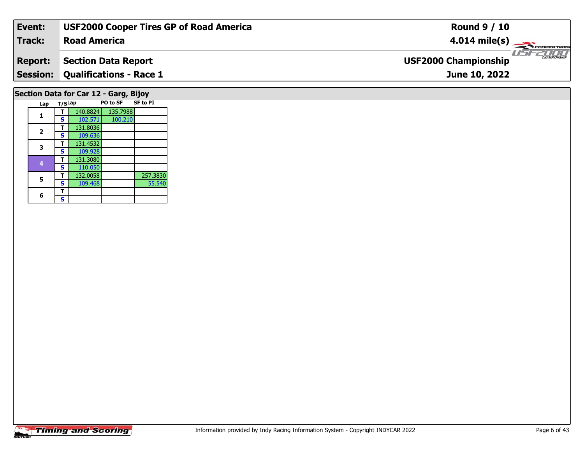| Event:                                | <b>USF2000 Cooper Tires GP of Road America</b> | <b>Round 9 / 10</b>                                |  |  |  |  |  |  |  |
|---------------------------------------|------------------------------------------------|----------------------------------------------------|--|--|--|--|--|--|--|
| <b>Track:</b>                         | <b>Road America</b>                            | $4.014 \text{ mile(s)}$                            |  |  |  |  |  |  |  |
| <b>Report:</b>                        | <b>Section Data Report</b>                     | <b>CHAMPIONSHIP</b><br><b>USF2000 Championship</b> |  |  |  |  |  |  |  |
| <b>Session:</b>                       | <b>Qualifications - Race 1</b>                 | June 10, 2022                                      |  |  |  |  |  |  |  |
| Section Data for Car 12 - Garg, Bijoy |                                                |                                                    |  |  |  |  |  |  |  |

| Lap |                            |          |          | <b>SF to PI</b> |
|-----|----------------------------|----------|----------|-----------------|
|     |                            | 140.8824 | 135.7988 |                 |
|     | S                          | 102.571  | 100.210  |                 |
|     |                            | 131.8036 |          |                 |
|     | S                          | 109.636  |          |                 |
|     |                            | 131.4532 |          |                 |
|     | s                          | 109.928  |          |                 |
|     |                            | 131.3080 |          |                 |
|     | S                          | 110.050  |          |                 |
|     |                            | 132.0058 |          | 257.3830        |
|     | S                          | 109.468  |          | 55.540          |
|     |                            |          |          |                 |
|     | S                          |          |          |                 |
|     | 1<br>2<br>3<br>4<br>5<br>6 |          | T/SLap   | PO to SF        |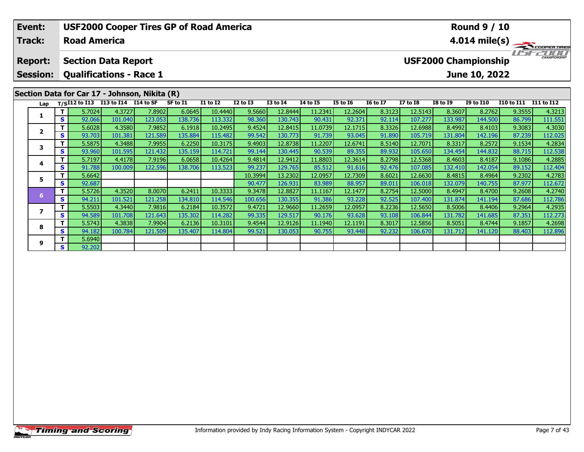| <b>USF2000 Cooper Tires GP of Road America</b><br>Event: |                |         |                                               |                   |                   |                   |                    |                  |                    |                   |                   | <b>Round 9 / 10</b>                                |                    |                   |                   |                   |                   |  |  |
|----------------------------------------------------------|----------------|---------|-----------------------------------------------|-------------------|-------------------|-------------------|--------------------|------------------|--------------------|-------------------|-------------------|----------------------------------------------------|--------------------|-------------------|-------------------|-------------------|-------------------|--|--|
|                                                          | <b>Track:</b>  |         | <b>Road America</b>                           |                   |                   |                   |                    |                  |                    |                   |                   | $4.014 \text{ mile(s)}$                            |                    |                   |                   |                   |                   |  |  |
|                                                          | <b>Report:</b> |         | <b>Section Data Report</b>                    |                   |                   |                   |                    |                  |                    |                   |                   | <b>CHAMPIONSHIP</b><br><b>USF2000 Championship</b> |                    |                   |                   |                   |                   |  |  |
| <b>Qualifications - Race 1</b><br><b>Session:</b>        |                |         |                                               |                   |                   |                   |                    |                  |                    |                   |                   |                                                    |                    | June 10, 2022     |                   |                   |                   |  |  |
|                                                          |                |         | Section Data for Car 17 - Johnson, Nikita (R) |                   |                   |                   |                    |                  |                    |                   |                   |                                                    |                    |                   |                   |                   |                   |  |  |
|                                                          | Lap            |         | T/SI12 to I13 I13 to I14 I14 to SF            |                   |                   | SF to I1          | <b>I1 to I2</b>    | <b>I2 to I3</b>  | <b>I3 to I4</b>    | <b>14 to 15</b>   | <b>I5 to 16</b>   | <b>16 to 17</b>                                    | <b>I7 to I8</b>    | <b>I8 to I9</b>   | <b>I9 to I10</b>  | <b>I10 to I11</b> | <b>I11 to I12</b> |  |  |
|                                                          | 1              | T.<br>S | 5.7024<br>92.066                              | 4.3727<br>101.040 | 7.8902<br>123.053 | 6.0645<br>138.736 | 10.4440<br>113.332 | 9.5660<br>98.360 | 12.8444<br>130.743 | 11.2341<br>90.431 | 12.2604<br>92.371 | 8.3123<br>92.114                                   | 12.5143<br>107.277 | 8.3607<br>133.987 | 8.2762<br>144.500 | 9.3555<br>86.799  | 4.3213<br>111.551 |  |  |
|                                                          |                | T.      | 5.6028                                        | 4.3580            | 7.9852            | 6.1918            | 10.2495            | 9.4524           | 12.8415            | 11.0739           | 12.1715           | 8.3326                                             | 12.6988            | 8.4992            | 8.4103            | 9.3083            | 4.3030            |  |  |
|                                                          | $\overline{2}$ | S       | 93.703                                        | 101.381           | 121.589           | 135.884           | 115.482            | 99.542           | 130.773            | 91.739            | 93.045            | 91.890                                             | 105.719            | 131.804           | 142.196           | 87.239            | 112.025           |  |  |
|                                                          |                | т       | 5.5875                                        | 4.3488            | 7.9955            | 6.2250            | 10.3175            | 9.4903           | 12.8738            | 11.2207           | 12.6741           | 8.5140                                             | 12.7071            | 8.3317            | 8.2572            | 9.1534            | 4.2834            |  |  |
|                                                          | 3              | S       | 93.960                                        | 101.595           | 121.432           | 135.159           | 114.721            | 99.144           | 130.445            | 90.539            | 89.355            | 89.932                                             | 105.650            | 134.454           | 144.832           | 88.715            | 112.538           |  |  |
|                                                          | 4              | т       | 5.7197                                        | 4.4178            | 7.9196            | 6.0658            | 10.4264            | 9.4814           | 12.9412            | 11.8803           | 12.3614           | 8.2798                                             | 12.5368            | 8.4603            | 8.4187            | 9.1086            | 4.2885            |  |  |
|                                                          |                | S       | 91.788                                        | 100.009           | 122.596           | 138.706           | 113.523            | 99.237           | 129.765            | 85.512            | 91.616            | 92.476                                             | 107.085            | 132.410           | 142.054           | 89.152            | 112.404           |  |  |
|                                                          | 5              | T.      | 5.6642                                        |                   |                   |                   |                    | 10.3994          | 13.2302            | 12.0957           | 12.7309           | 8.6021                                             | 12.6630            | 8.4815            | 8.4964            | 9.2302            | 4.2783            |  |  |
|                                                          | 6              | S.      | 92.687                                        |                   |                   |                   |                    | 90.477           | 126.931            | 83.989            | 88.957            | 89.011                                             | 106.018            | 132.079           | 140.755           | 87.977            | 112.672           |  |  |
|                                                          |                | т       | 5.5726                                        | 4.3520            | 8.0070            | 6.2411            | 10.3333            | 9.3478           | 12.8827            | 11.1167           | 12.1477           | 8.2754                                             | 12.5000            | 8.4947            | 8.4700            | 9.2608            | 4.2740            |  |  |
|                                                          |                | S       | 94.211                                        | 101.521           | 121.258           | 134.810           | 114.546            | 100.656          | 130.355            | 91.386            | 93.228            | 92.525                                             | 107.400            | 131.874           | 141.194           | 87.686            | 112.786           |  |  |
|                                                          | 7              |         | 5.5503                                        | 4.3440            | 7.9816            | 6.2184            | 10.3572            | 9.4721           | 12.9660            | 11.2659           | 12.0957           | 8.2236                                             | 12.5650            | 8.5006            | 8.4406            | 9.2964            | 4.2935            |  |  |
|                                                          |                | S.      | 94.589                                        | 101.708           | 121.643           | 135.302           | 114.282            | 99.335           | 129.517            | 90.176            | 93.628            | 93.108                                             | 106.844            | 131.782           | 141.685           | 87.351            | 112.273           |  |  |

8 T | 5.5743 4.3838 7.9904 6.2136 10.3101 9.4544 12.9126 11.1940 12.1191 8.3017 12.5856 8.5051 8.4744 9.1857 4.2698<br>8 S 94.182 100.784 121.509 135.407 114.804 99.521 130.053 90.755 93.448 92.232 106.670 131.712 141.120 88.

**8**

**9**

**<sup>T</sup>** 5.6940 **<sup>S</sup>** 92.202

112.273<br>4.2698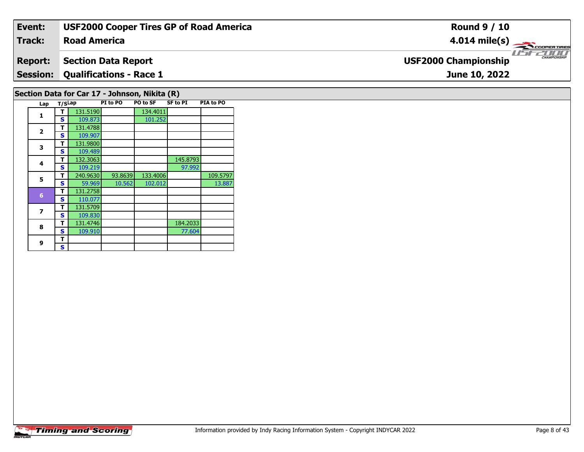| Event:                                        | <b>USF2000 Cooper Tires GP of Road America</b>                               | <b>Round 9 / 10</b>                          |  |  |  |  |  |  |  |
|-----------------------------------------------|------------------------------------------------------------------------------|----------------------------------------------|--|--|--|--|--|--|--|
| Track:                                        | <b>Road America</b>                                                          | $4.014 \text{ mile(s)}$                      |  |  |  |  |  |  |  |
| <b>Report:</b>                                | <b>Section Data Report</b>                                                   | $\frac{1}{1}$<br><b>USF2000 Championship</b> |  |  |  |  |  |  |  |
|                                               | <b>Session: Qualifications - Race 1</b>                                      | June 10, 2022                                |  |  |  |  |  |  |  |
| Section Data for Car 17 - Johnson, Nikita (R) |                                                                              |                                              |  |  |  |  |  |  |  |
| Lap                                           | <b>SF to PI</b><br><b>PIA to PO</b><br>PI to PO<br><b>PO to SF</b><br>T/SLap |                                              |  |  |  |  |  |  |  |

| $\mathbf{1}$    | т            | 131.5190 |         | 134.4011 |          |          |
|-----------------|--------------|----------|---------|----------|----------|----------|
|                 | S            | 109.873  |         | 101.252  |          |          |
| $\overline{2}$  | т            | 131.4788 |         |          |          |          |
|                 | S            | 109.907  |         |          |          |          |
| 3               | т            | 131.9800 |         |          |          |          |
|                 | S            | 109.489  |         |          |          |          |
| 4               | т            | 132.3063 |         |          | 145.8793 |          |
|                 | S            | 109.219  |         |          | 97.992   |          |
| 5               | т            | 240.9630 | 93.8639 | 133.4006 |          | 109.5797 |
|                 | S            | 59.969   | 10.562  | 102.012  |          | 13.887   |
| $6\phantom{1}6$ | т            | 131.2758 |         |          |          |          |
|                 | S            | 110.077  |         |          |          |          |
| 7               | т            | 131.5709 |         |          |          |          |
|                 | $\mathbf{s}$ | 109.830  |         |          |          |          |
| 8               | т            | 131.4746 |         |          | 184.2033 |          |
|                 | S            | 109.910  |         |          | 77.604   |          |
| 9               | т            |          |         |          |          |          |
|                 | S            |          |         |          |          |          |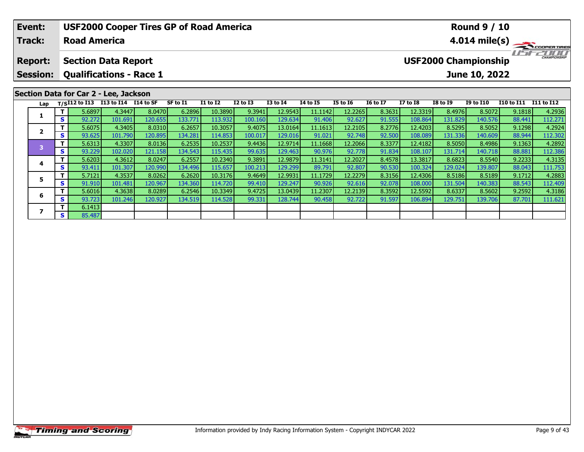| Event:                                                                                                                                            |          | <b>USF2000 Cooper Tires GP of Road America</b><br><b>Round 9 / 10</b> |                      |         |          |                 |                 |                 |                 |                 |                 |                 |                 |                  |                          |                         |
|---------------------------------------------------------------------------------------------------------------------------------------------------|----------|-----------------------------------------------------------------------|----------------------|---------|----------|-----------------|-----------------|-----------------|-----------------|-----------------|-----------------|-----------------|-----------------|------------------|--------------------------|-------------------------|
| <b>Track:</b>                                                                                                                                     |          | <b>Road America</b>                                                   |                      |         |          |                 |                 |                 |                 |                 |                 |                 |                 |                  |                          | $4.014 \text{ mile(s)}$ |
| <b>USF2000 Championship</b><br><b>Section Data Report</b><br><b>Report:</b><br><b>Qualifications - Race 1</b><br><b>Session:</b><br>June 10, 2022 |          |                                                                       |                      |         |          |                 |                 |                 |                 |                 |                 |                 |                 |                  | <b>LIST CHAMPIONSHIP</b> |                         |
|                                                                                                                                                   |          |                                                                       |                      |         |          |                 |                 |                 |                 |                 |                 |                 |                 |                  |                          |                         |
|                                                                                                                                                   |          | Section Data for Car 2 - Lee, Jackson                                 |                      |         |          |                 |                 |                 |                 |                 |                 |                 |                 |                  |                          |                         |
| Lap                                                                                                                                               |          | $T/SI12$ to $\overline{I13}$                                          | I13 to I14 I14 to SF |         | SF to I1 | <b>I1 to I2</b> | <b>I2 to I3</b> | <b>I3 to I4</b> | <b>I4 to I5</b> | <b>I5 to 16</b> | <b>16 to 17</b> | <b>I7 to I8</b> | <b>I8 to I9</b> | <b>I9 to I10</b> | <b>I10 to I11</b>        | I11 to I12              |
|                                                                                                                                                   |          | 5.6897                                                                | 4.3447               | 8.0470  | 6.2896   | 10.3890         | 9.3941          | 12.9543         | 11.1142         | 12.2265         | 8.3631          | 12.3319         | 8.4976          | 8.5072           | 9.1818                   | 4.2936                  |
|                                                                                                                                                   | S I      | 92.272                                                                | 101.691              | 120.655 | 133.771  | 113.932         | 100.160         | 129.634         | 91.406          | 92.627          | 91.555          | 108.864         | 131.829         | 140.576          | 88.441                   | 112.271                 |
| $\overline{2}$                                                                                                                                    |          | 5.6075                                                                | 4.3405               | 8.0310  | 6.2657   | 10.3057         | 9.4075          | 13.0164         | 11.1613         | 12.2105         | 8.2776          | 12.4203         | 8.5295          | 8.5052           | 9.1298                   | 4.2924                  |
|                                                                                                                                                   | s l      | 93.625                                                                | 101.790              | 120.895 | 134.281  | 114.853         | 100.017         | 129.016         | 91.021          | 92.748          | 92.500          | 108.089         | 131.336         | 140.609          | 88.944                   | 112.302                 |
| з                                                                                                                                                 |          | 5.6313                                                                | 4.3307               | 8.0136  | 6.2535   | 10.2537         | 9.4436          | 12.9714         | 11.1668         | 12.2066         | 8.3377          | 12.4182         | 8.5050          | 8.4986           | 9.1363                   | 4.2892                  |
|                                                                                                                                                   | <b>S</b> | 93.229                                                                | 102.020              | 121.158 | 134.543  | 115.435         | 99.635          | 129.463         | 90.976          | 92.778          | 91.834          | 108.107         | 131.714         | 140.718          | 88.881                   | 112.386                 |

**<sup>T</sup>** 5.6203 4.3612 8.0247 6.2557 10.2340 9.3891 12.9879 11.3141 12.2027 8.4578 13.3817 8.6823 8.5540 9.2233 4.3135 **<sup>S</sup>** 93.411 101.307 120.990 134.496 115.657 100.213 129.299 89.791 92.807 90.530 100.324 129.024 139.807 88.043 111.753

**<sup>T</sup>** 5.7121 4.3537 8.0262 6.2620 10.3176 9.4649 12.9931 11.1729 12.2279 8.3156 12.4306 8.5186 8.5189 9.1712 4.2883 **<sup>S</sup>** 91.910 101.481 120.967 134.360 114.720 99.410 129.247 90.926 92.616 92.078 108.000 131.504 140.383 88.543 112.409

6 | T | 5.6016| 4.3638| 8.0289| 6.2546| 10.3349| 9.4725| 13.0439| 11.2307| 12.2139| 8.3592| 12.5592| 8.6337| 8.5602| 9.2592| 4.3186<br>| S | 93.723| 101.246| 120.927| 134.519| 114.528| 99.331| 128.744| 90.458| 92.722| 91.597|

**4**

**5**

**6**

**7**

**7 S**  $\begin{array}{|c|c|c|c|} \hline \textbf{S} & \textbf{85.487} \hline \end{array}$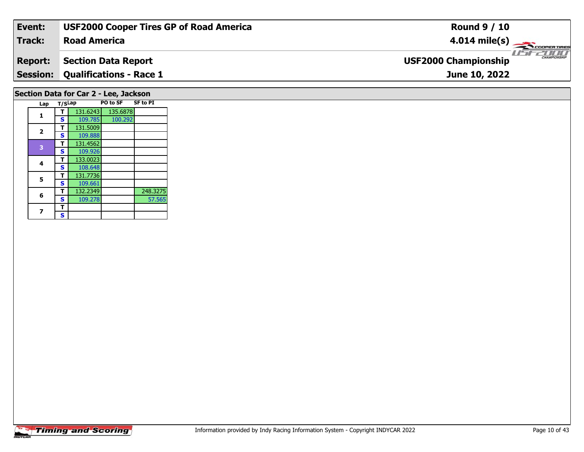| Event:          | <b>USF2000 Cooper Tires GP of Road America</b> | <b>Round 9 / 10</b>                                |
|-----------------|------------------------------------------------|----------------------------------------------------|
| <b>Track:</b>   | <b>Road America</b>                            | $4.014 \text{ mile(s)}$                            |
| <b>Report:</b>  | <b>Section Data Report</b>                     | <b>CHAMPIONSHIP</b><br><b>USF2000 Championship</b> |
| <b>Session:</b> | <b>Qualifications - Race 1</b>                 | June 10, 2022                                      |
|                 | Section Data for Car 2 - Lee, Jackson          |                                                    |

| Lap                     | T/SLap |          | PO to SF | <b>SF to PI</b> |  |  |  |
|-------------------------|--------|----------|----------|-----------------|--|--|--|
|                         | т      | 131.6243 | 135.6878 |                 |  |  |  |
| 1                       | S      | 109.785  | 100.292  |                 |  |  |  |
|                         | т      | 131.5009 |          |                 |  |  |  |
| $\overline{\mathbf{z}}$ | S      | 109.888  |          |                 |  |  |  |
| 3                       | т      | 131.4562 |          |                 |  |  |  |
|                         | S      | 109.926  |          |                 |  |  |  |
|                         | т      | 133.0023 |          |                 |  |  |  |
| 4                       | S      | 108.648  |          |                 |  |  |  |
| 5                       | т      | 131.7736 |          |                 |  |  |  |
|                         | S      | 109.661  |          |                 |  |  |  |
| 6                       | т      | 132.2349 |          | 248.3275        |  |  |  |
|                         | S      | 109.278  |          | 57.565          |  |  |  |
|                         | т      |          |          |                 |  |  |  |
|                         | S      |          |          |                 |  |  |  |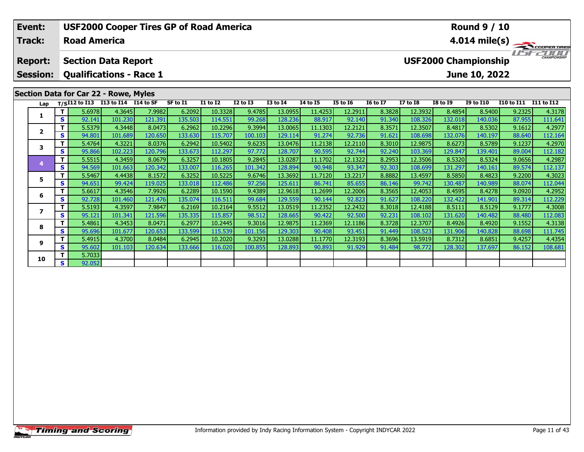| Event:<br>Track:                  |              | <b>USF2000 Cooper Tires GP of Road America</b><br><b>Road America</b> |         |         |          |                                                                                    |              |                 | <b>Round 9 / 10</b><br>4.014 mile(s) |                 |                 |                 |                 |                  |            |            |
|-----------------------------------|--------------|-----------------------------------------------------------------------|---------|---------|----------|------------------------------------------------------------------------------------|--------------|-----------------|--------------------------------------|-----------------|-----------------|-----------------|-----------------|------------------|------------|------------|
| <b>Report:</b><br><b>Session:</b> |              | <b>Section Data Report</b><br><b>Qualifications - Race 1</b>          |         |         |          | <b>IFFE</b><br><b>CHAMPIONSHIP</b><br><b>USF2000 Championship</b><br>June 10, 2022 |              |                 |                                      |                 |                 |                 |                 |                  |            |            |
|                                   |              | <b>Section Data for Car 22 - Rowe, Myles</b>                          |         |         |          |                                                                                    |              |                 |                                      |                 |                 |                 |                 |                  |            |            |
| Lap                               |              | T/SI12 to I13 I13 to I14 I14 to SF                                    |         |         | SF to I1 | <b>I1 to I2</b>                                                                    | $I2$ to $I3$ | <b>I3 to I4</b> | <b>I4 to I5</b>                      | <b>I5 to 16</b> | <b>16 to 17</b> | <b>I7 to I8</b> | <b>I8 to I9</b> | <b>I9 to I10</b> | I10 to I11 | I11 to I12 |
|                                   | T I          | 5.6978                                                                | 4.3645  | 7.9982  | 6.2092   | 10.3328                                                                            | 9.4785       | 13.0955         | 11.4253                              | 12.2911         | 8.3828          | 12.3932         | 8.4854          | 8.5400           | 9.2325     | 4.3178     |
|                                   | S.           | 92.141                                                                | 101.230 | 121.391 | 135.503  | 114.551                                                                            | 99.268       | 128.236         | 88.917                               | 92.140          | 91.340          | 108.326         | 132.018         | 140.036          | 87.955     | 111.641    |
| $\mathbf{2}$                      | Τ.           | 5.5379                                                                | 4.3448  | 8.0473  | 6.2962   | 10.2296                                                                            | 9.3994       | 13.0065         | 11.1303                              | 12.2121         | 8.3571          | 12.3507         | 8.4817          | 8.5302           | 9.1612     | 4.2977     |
|                                   | <b>S</b>     | 94.801                                                                | 101.689 | 120.650 | 133.630  | 115.707                                                                            | 100.103      | 129.114         | 91.274                               | 92.736          | 91.621          | 108.698         | 132.076         | 140.197          | 88.640     | 112.164    |
| 3                                 | Τ.           | 5.4764                                                                | 4.3221  | 8.0376  | 6.2942   | 10.5402                                                                            | 9.6235       | 13.0476         | 11.2138                              | 12.2110         | 8.3010          | 12.9875         | 8.6273          | 8.5789           | 9.1237     | 4.2970     |
|                                   | <b>S</b>     | 95.866                                                                | 102.223 | 120.796 | 133.673  | 112.297                                                                            | 97.772       | 128.707         | 90.595                               | 92.744          | 92.240          | 103.369         | 129.847         | 139.401          | 89.004     | 112.182    |
|                                   | Τ.           | 5.5515                                                                | 4.3459  | 8.0679  | 6.3257   | 10.1805                                                                            | 9.2845       | 13.0287         | 11.1702                              | 12.1322         | 8.2953          | 12.3506         | 8.5320          | 8.5324           | 9.0656     | 4.2987     |
|                                   | $\mathbf{s}$ | 94.569                                                                | 101.663 | 120.342 | 133.007  | 116.265                                                                            | 101.342      | 128.894         | 90.948                               | 93.347          | 92.303          | 108.699         | 131.297         | 140.161          | 89.574     | 112.137    |
| 5                                 | T.           | 5.5467                                                                | 4.4438  | 8.1572  | 6.3252   | 10.5225                                                                            | 9.6746       | 13.3692         | 11.7120                              | 13.2217         | 8.8882          | 13.4597         | 8.5850          | 8.4823           | 9.2200     | 4.3023     |
|                                   | S            | 94.651                                                                | 99.424  | 119.025 | 133.018  | 112.486                                                                            | 97.256       | 125.611         | 86.741                               | 85.655          | 86.146          | 99.742          | 130.487         | 140.989          | 88.074     | 112.044    |
| 6                                 | Τ.           | 5.6617                                                                | 4.3546  | 7.9926  | 6.2289   | 10.1590                                                                            | 9.4389       | 12.9618         | 11.2699                              | 12.2006         | 8.3565          | 12.4053         | 8.4595          | 8.4278           | 9.0920     | 4.2952     |
|                                   | S            | 92.728                                                                | 101.460 | 121.476 | 135.074  | 116.511                                                                            | 99.684       | 129.559         | 90.144                               | 92.823          | 91.627          | 108.220         | 132.422         | 141.901          | 89.314     | 112.229    |
| 7                                 |              | 5.5193                                                                | 4.3597  | 7.9847  | 6.2169   | 10.2164                                                                            | 9.5512       | 13.0519         | 11.2352                              | 12.2432         | 8.3018          | 12.4188         | 8.5111          | 8.5129           | 9.1777     | 4.3008     |
|                                   | S.           | 95.121                                                                | 101.341 | 121.596 | 135.335  | 115.857                                                                            | 98.512       | 128.6651        | 90.422                               | 92.500          | 92.231          | 108.102         | 131.620         | 140.482          | 88.480     | 112.083    |

8 T | 5.4861 4.3453 8.0471 6.2977 10.2445 9.3016 12.9875 11.2369 12.1186 8.3728 12.3707 8.4926 8.4920 9.1552 4.3138<br>8 S 95.696 101.677 120.653 133.599 115.539 101.156 129.303 90.408 93.451 91.449 108.523 131.906 140.828 88

1.1770| 12.3193| 1.3790| 1.43700| 1.43700| 8.0484| 6.2945| 10.2020| 9.3293| 13.0288| 11.1770| 12.3193| 8.3696|<br>S | 95.602| 101.103| 120.634| 133.666| 116.020| 100.855| 128.893| 90.893| 91.929| 91.484| 98.772| 128.302| 137

**8**

**9**

**10**

**<sup>T</sup>** 5.7033 **<sup>S</sup>** 92.052

 $\frac{4.3138}{ }$ 

111.745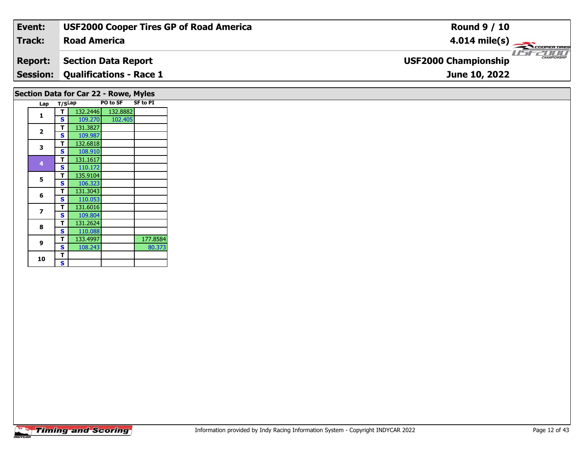| Event:         | <b>USF2000 Cooper Tires GP of Road America</b> | <b>Round 9 / 10</b>                                |
|----------------|------------------------------------------------|----------------------------------------------------|
| Track:         | <b>Road America</b>                            | $4.014 \text{ mile(s)}$                            |
| <b>Report:</b> | Section Data Report                            | <b>CHAMPIONSHIP</b><br><b>USF2000 Championship</b> |
|                | <b>Session: Qualifications - Race 1</b>        | June 10, 2022                                      |
|                |                                                |                                                    |

## **Lap T/SLap PO to SF SF to PI 1 <sup>T</sup>** 132.2446 132.8882 **<sup>S</sup>** 109.270 102.405102.405 **2a**  $\begin{array}{|c|c|c|}\n\hline\n\textbf{S} & \textbf{131.3827} \\
\hline\n\textbf{S} & \textbf{109.987}\n\hline\n\end{array}$ **3 <sup>T</sup>** 132.6818 **<sup>S</sup>** 108.910 **<sup>T</sup>** 131.1617 **<sup>S</sup>** 110.172**4**110.172 **5 <sup>T</sup>** 135.9104 **<sup>S</sup>** 106.323 **<sup>T</sup>** 131.3043 **<sup>S</sup>** 110.053**6** $\frac{110.053}{131.6016}$ **7T** 131.6016<br>**S** 109.804 **8 <sup>T</sup>** 131.2624 **<sup>S</sup>** 110.088133.4997 **9T** 133.4997 177.8584<br> **S** 108.243 80.373 80.373 **10** $\frac{1}{s}$ **Section Data for Car 22 - Rowe, Myles**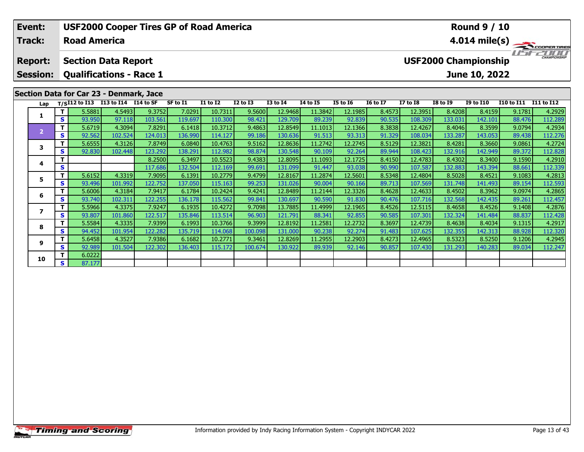| Event:          | <b>USF2000 Cooper Tires GP of Road America</b> |                     |                                         |         |          |                 |                 |                 |                 |                         | <b>Round 9 / 10</b>                         |                 |                 |                  |                   |            |  |  |  |
|-----------------|------------------------------------------------|---------------------|-----------------------------------------|---------|----------|-----------------|-----------------|-----------------|-----------------|-------------------------|---------------------------------------------|-----------------|-----------------|------------------|-------------------|------------|--|--|--|
| Track:          |                                                | <b>Road America</b> |                                         |         |          |                 |                 |                 |                 | $4.014 \text{ mile(s)}$ |                                             |                 |                 |                  |                   |            |  |  |  |
| <b>Report:</b>  |                                                |                     | <b>Section Data Report</b>              |         |          |                 |                 |                 |                 |                         | CHAMPIONSHIP<br><b>USF2000 Championship</b> |                 |                 |                  |                   |            |  |  |  |
| <b>Session:</b> |                                                |                     | <b>Qualifications - Race 1</b>          |         |          |                 |                 |                 |                 |                         | June 10, 2022                               |                 |                 |                  |                   |            |  |  |  |
|                 |                                                |                     | Section Data for Car 23 - Denmark, Jace |         |          |                 |                 |                 |                 |                         |                                             |                 |                 |                  |                   |            |  |  |  |
| Lap             |                                                | $T/SI12$ to $I13$   | I13 to I14 I14 to SF                    |         | SF to I1 | <b>I1 to I2</b> | <b>I2 to I3</b> | <b>I3 to I4</b> | <b>I4 to I5</b> | <b>I5 to 16</b>         | <b>16 to 17</b>                             | <b>I7 to I8</b> | <b>I8 to I9</b> | <b>I9 to I10</b> | <b>I10 to I11</b> | I11 to I12 |  |  |  |
| 1               |                                                | 5.5881              | 4.5493                                  | 9.3752  | 7.0291   | 10.7311         | 9.5600          | 12.9468         | 11.3842         | 12.1985                 | 8.4573                                      | 12.3951         | 8.4208          | 8.4159           | 9.1781            | 4.2929     |  |  |  |
|                 | S.                                             | 93.950              | 97.118                                  | 103.561 | 119.697  | 110.300         | 98.421          | 129.709         | 89.239          | 92.839                  | 90.535                                      | 108.309         | 133.031         | 142.101          | 88.476            | 112.289    |  |  |  |
| $\overline{2}$  |                                                | 5.6719              | 4.3094                                  | 7.8291  | 6.1418   | 10.3712         | 9.4863          | 12.8549         | 11.1013         | 12.1366                 | 8.3838                                      | 12.4267         | 8.4046          | 8.3599           | 9.0794            | 4.2934     |  |  |  |
|                 | S.                                             | 92.562              | 102.524                                 | 124.013 | 136.990  | 114.127         | 99.186          | 130.636         | 91.513          | 93.313                  | 91.329                                      | 108.034         | 133.287         | 143.053          | 89.438            | 112.276    |  |  |  |
| 3               | Τ.                                             | 5.6555              | 4.3126                                  | 7.8749  | 6.0840   | 10.4763         | 9.5162          | 12.8636         | 11.2742         | 12.2745                 | 8.5129                                      | 12.3821         | 8.4281          | 8.3660           | 9.0861            | 4.2724     |  |  |  |
|                 | S.                                             | 92.830              | 102.448                                 | 123.292 | 138.291  | 112.982         | 98.874          | 130.548         | 90.109          | 92.264                  | 89.944                                      | 108.423         | 132.916         | 142.949          | 89.372            | 112.828    |  |  |  |
| 4               |                                                |                     |                                         | 8.2500  | 6.3497   | 10.5523         | 9.4383          | 12.8095         | 11.1093         | 12.1725                 | 8.4150                                      | 12.4783         | 8.4302          | 8.3400           | 9.1590            | 4.2910     |  |  |  |
|                 | S                                              |                     |                                         | 117.686 | 132.504  | 112.169         | 99.691          | 131.099         | 91.447          | 93.038                  | 90.990                                      | 107.587         | 132.883         | 143.394          | 88.661            | 112.339    |  |  |  |
| 5               | т                                              | 5.6152              | 4.3319                                  | 7.9095  | 6.1391   | 10.2779         | 9.4799          | 12.8167         | 11.2874         | 12.5601                 | 8.5348                                      | 12.4804         | 8.5028          | 8.4521           | 9.1083            | 4.2813     |  |  |  |
|                 | S.                                             | 93.496              | 101.992                                 | 122.752 | 137.050  | 115.163         | 99.253          | 131.026         | 90.004          | 90.166                  | 89.713                                      | 107.569         | 131.748         | 141.493          | 89.154            | 112.593    |  |  |  |
| 6               | Τ.                                             | 5.6006              | 4.3184                                  | 7.9417  | 6.1784   | 10.2424         | 9.4241          | 12.8489         | 11.2144         | 12.3326                 | 8.4628                                      | 12.4633         | 8.4502          | 8.3962           | 9.0974            | 4.2865     |  |  |  |
|                 | S.                                             | 93.740              | 102.311                                 | 122.255 | 136.178  | 115.562         | 99.841          | 130.697         | 90.590          | 91.830                  | 90.476                                      | 107.716         | 132.568         | 142.435          | 89.261            | 112.457    |  |  |  |
| 7               |                                                | 5.5966              | 4.3375                                  | 7.9247  | 6.1935   | 10.4272         | 9.7098          | 13.7885         | 11.4999         | 12.1965                 | 8.4526                                      | 12.5115         | 8.4658          | 8.4526           | 9.1408            | 4.2876     |  |  |  |
|                 | S.                                             | 93.807              | 101.860                                 | 122.517 | 135.846  | 113.514         | 96.903          | 121.791         | 88.341          | 92.855                  | 90.585                                      | 107.301         | 132.324         | 141.484          | 88.837            | 112.428    |  |  |  |
| 8               | T.                                             | 5.5584              | 4.3335                                  | 7.9399  | 6.1993   | 10.3766         | 9.3999          | 12.8192         | 11.2581         | 12.2732                 | 8.3697                                      | 12.4739         | 8.4638          | 8.4034           | 9.1315            | 4.2917     |  |  |  |
|                 | S.                                             | 94.452              | 101.954                                 | 122.282 | 135.719  | 114.068         | 100.098         | 131.000         | 90.238          | 92.274                  | 91.483                                      | 107.625         | 132.355         | 142.313          | 88.928            | 112.320    |  |  |  |

8.5250| 9.1206| 9.1206| 9.13527| 7.9386| 6.1682| 10.2771| 9.3461| 12.8269| 11.2955| 12.2903| 8.4273| 12.4965| 8.5323| 8.5250| 9.1206| 4.2945| 9.5523| 9.5250| 9.1206| 4.2945| 9.5523| 9.5250| 9.1206| 4.2945| 9.5523| 9.034|

**9**

**10**

**<sup>T</sup>** 6.0222 **<sup>S</sup>** 87.177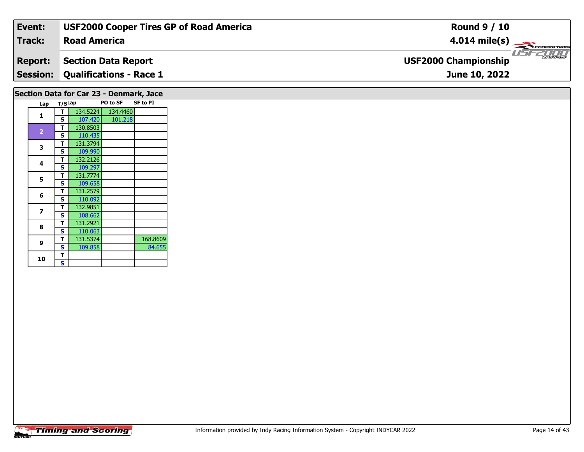| Event:          | <b>USF2000 Cooper Tires GP of Road America</b> | <b>Round 9 / 10</b>                                     |
|-----------------|------------------------------------------------|---------------------------------------------------------|
| <b>Track:</b>   | <b>Road America</b>                            | $4.014 \text{ mile(s)}$                                 |
| <b>Report:</b>  | <b>Section Data Report</b>                     | <b>LIST CHAMPIONSHIP</b><br><b>USF2000 Championship</b> |
| <b>Session:</b> | <b>Qualifications - Race 1</b>                 | June 10, 2022                                           |
|                 | Section Data for Car 23 - Denmark, Jace        |                                                         |

| Lap                     | T/SLap |          | PO to SF | <b>SF to PI</b> |
|-------------------------|--------|----------|----------|-----------------|
| 1                       | т      | 134.5224 | 134.4460 |                 |
|                         | S      | 107.420  | 101.218  |                 |
|                         | т      | 130.8503 |          |                 |
| $\overline{\mathbf{2}}$ | S      | 110.435  |          |                 |
|                         | т      | 131.3794 |          |                 |
| 3                       | S      | 109.990  |          |                 |
|                         | т      | 132.2126 |          |                 |
| 4                       | S      | 109.297  |          |                 |
| 5                       | т      | 131.7774 |          |                 |
|                         | S      | 109.658  |          |                 |
|                         | т      | 131.2579 |          |                 |
| 6                       | S      | 110.092  |          |                 |
| 7                       | т      | 132.9851 |          |                 |
|                         | S      | 108.662  |          |                 |
| 8                       | т      | 131.2921 |          |                 |
|                         | S      | 110.063  |          |                 |
| 9                       | т      | 131.5374 |          | 168.8609        |
|                         | S      | 109.858  |          | 84.655          |
| 10                      | т      |          |          |                 |
|                         | S      |          |          |                 |
|                         |        |          |          |                 |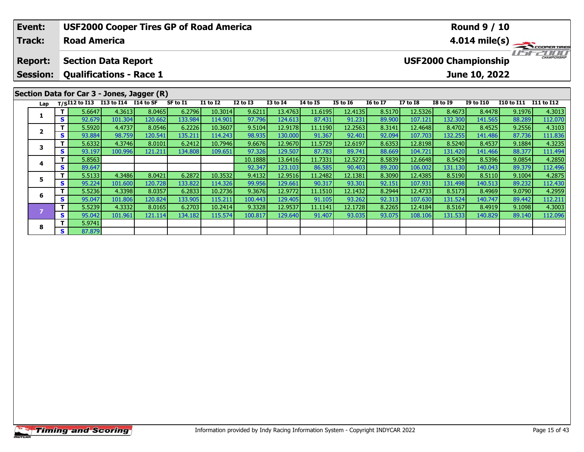| Event:                                     |        |                     | <b>USF2000 Cooper Tires GP of Road America</b>               |         |          |                 |                 | <b>Round 9 / 10</b> |                 |                 |                 |                         |                 |                                              |                   |                   |  |  |
|--------------------------------------------|--------|---------------------|--------------------------------------------------------------|---------|----------|-----------------|-----------------|---------------------|-----------------|-----------------|-----------------|-------------------------|-----------------|----------------------------------------------|-------------------|-------------------|--|--|
| <b>Track:</b>                              |        | <b>Road America</b> |                                                              |         |          |                 |                 |                     |                 |                 |                 | $4.014 \text{ mile(s)}$ |                 |                                              |                   |                   |  |  |
| <b>Report:</b><br><b>Session:</b>          |        |                     | <b>Section Data Report</b><br><b>Qualifications - Race 1</b> |         |          |                 |                 |                     |                 |                 |                 |                         |                 | <b>USF2000 Championship</b><br>June 10, 2022 |                   |                   |  |  |
| Section Data for Car 3 - Jones, Jagger (R) |        | $T/SI12$ to $I13$   | I13 to I14 I14 to SF                                         |         | SF to I1 | <b>I1 to I2</b> | <b>I2 to I3</b> | <b>I3 to I4</b>     | <b>I4 to I5</b> | <b>I5 to 16</b> | <b>16 to 17</b> | <b>I7 to I8</b>         | <b>I8 to I9</b> | <b>I9 to I10</b>                             | <b>I10 to I11</b> | <b>I11 to I12</b> |  |  |
| Lap                                        |        |                     |                                                              |         |          |                 |                 |                     |                 |                 |                 |                         |                 |                                              |                   |                   |  |  |
|                                            | S.     | 5.6647              | 4.3613                                                       | 8.0465  | 6.2796   | 10.3014         | 9.6211          | 13.4763             | 11.6195         | 12.4135         | 8.5170          | 12.5326                 | 8.4673          | 8.4478                                       | 9.1976            | 4.3013            |  |  |
|                                            |        | 92.679              | 101.304                                                      | 120.662 | 133.984  | 114.901         | 97.796          | 124.613             | 87.431          | 91.231          | 89.900          | 107.121                 | 132.300         | 141.565                                      | 88.289            | 112.070           |  |  |
| $\overline{\mathbf{2}}$                    |        | 5.5920              | 4.4737                                                       | 8.0546  | 6.2226   | 10.3607         | 9.5104          | 12.9178             | 11.1190         | 12.2563         | 8.3141          | 12.4648                 | 8.4702          | 8.4525                                       | 9.2556            | 4.3103            |  |  |
|                                            | S.     | 93.884              | 98.759                                                       | 120.541 | 135.211  | 114.243         | 98.935          | 130.000             | 91.367          | 92.401          | 92.094          | 107.703                 | 132.255         | 141.486                                      | 87.736            | 111.836           |  |  |
| 3                                          |        | 5.6332              | 4.3746                                                       | 8.0101  | 6.2412   | 10.7946         | 9.6676          | 12.9670             | 11.5729         | 12.6197         | 8.6353          | 12.8198                 | 8.5240          | 8.4537                                       | 9.1884            | 4.3235            |  |  |
|                                            | S.     | 93.197              | 100.996                                                      | 121.211 | 134.808  | 109.651         | 97.326          | 129.507             | 87.783          | 89.741          | 88.669          | 104.721                 | 131.420         | 141.466                                      | 88.377            | 111.494           |  |  |
| 4                                          |        | 5.8563              |                                                              |         |          |                 | 10.1888         | 13.6416             | 11.7331         | 12.5272         | 8.5839          | 12.6648                 | 8.5429          | 8.5396                                       | 9.0854            | 4.2850            |  |  |
|                                            | S.     | 89.647              |                                                              |         |          |                 | 92.347          | 123.103             | 86.585          | 90.403          | 89.200          | 106.002                 | 131.130         | 140.043                                      | 89.379            | 112.496           |  |  |
|                                            |        | 5.5133              | 4.3486                                                       | 8.0421  | 6.2872   | 10.3532         | 9.4132          | 12.9516             | 11.2482         | 12.1381         | 8.3090          | 12.4385                 | 8.5190          | 8.5110                                       | 9.1004            | 4.2875            |  |  |
| 5<br>S.                                    | 95.224 | 101.600             | 120.7281                                                     | 133.822 | 114.326  | 99.956          | 129.661         | 90.317              | 93.301          | 92.151          | 107.931         | 131.498                 | 140.513         | 89.232                                       | 112.430           |                   |  |  |

6 | T | 5.5236| 4.3398| 8.0357| 6.2833| 10.2736| 9.3676| 12.9772| 11.1510| 12.1432| 8.2944| 12.4733| 8.5173| 8.4969| 9.0790| 4.2959<br>| S | 95.047| 101.806| 120.824| 133.905| 115.211| 100.443| 129.405| 91.105| 93.262| 92.313

7 | T | 5.5239| 4.3332| 8.0165| 6.2703| 10.2414| 9.3328| 12.9537| 11.1141| 12.1728| 8.2265| 12.4184| 8.5167| 8.4919| 9.1098| 4.3003<br>- S | 95.042 101.961 121.114 134.182 115.574 100.817 129.640 91.407 93.035 93.075 108.106

**6**

**8**

**8 T** 5.9741

4.2959

112.211<br>4.3003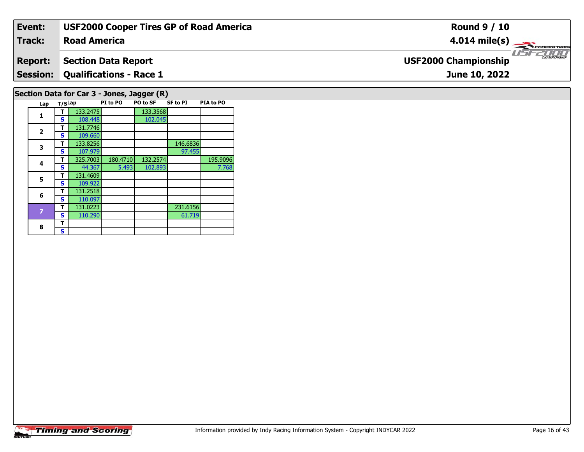| Event:         | <b>USF2000 Cooper Tires GP of Road America</b>                                   | <b>Round 9 / 10</b>                             |
|----------------|----------------------------------------------------------------------------------|-------------------------------------------------|
| Track:         | <b>Road America</b>                                                              | 4.014 mile(s) $\longrightarrow$<br>COOPER TIRES |
| <b>Report:</b> | <b>Section Data Report</b>                                                       | CHAMPIONSHIP<br><b>USF2000 Championship</b>     |
|                | <b>Session: Qualifications - Race 1</b>                                          | June 10, 2022                                   |
|                | Section Data for Car 3 - Jones, Jagger (R)                                       |                                                 |
|                | <b>PIA to PO</b><br><b>SF to PI</b><br>PI to PO<br><b>PO to SF</b><br>Lap T/SLap |                                                 |

**1**

**2**

**3**

**4**

**5**

**6**

8  $\frac{1}{s}$ 

**1 T** 133.2475 133.3568<br>**S** 108.448 102.045

**T** 133.8256 107.979 146.6836

**T** 131.0223 231.6156<br>**S** 110.290 61.719

**T** 325.7003 180.4710 132.2574 195.9096<br>S 44.367 5.493 102.893 7.768

97.455

61.719

7.768

 **<sup>T</sup>** 131.7746 **<sup>S</sup>** 109.660109.660<br>133.8256

**<sup>T</sup>** 131.4609 **<sup>S</sup>** 109.922

 **<sup>T</sup>** 131.2518 **<sup>S</sup>** 110.097131.0223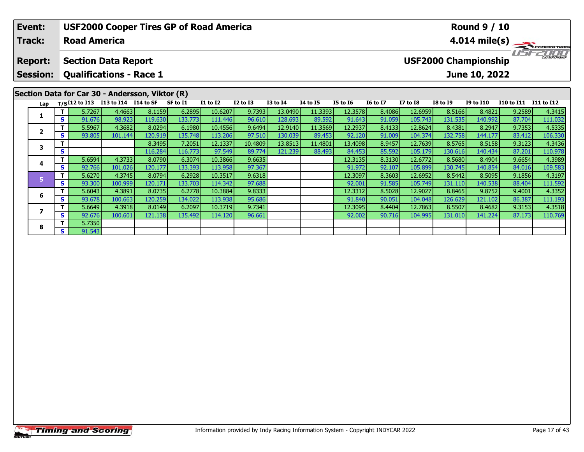| Event:                                          |        |                     | <b>USF2000 Cooper Tires GP of Road America</b>               |         |          |                 |                 | <b>Round 9 / 10</b> |                 |                 |                 |                 |                             |                  |                   |                   |  |  |
|-------------------------------------------------|--------|---------------------|--------------------------------------------------------------|---------|----------|-----------------|-----------------|---------------------|-----------------|-----------------|-----------------|-----------------|-----------------------------|------------------|-------------------|-------------------|--|--|
| <b>Track:</b>                                   |        | <b>Road America</b> |                                                              |         |          |                 |                 |                     |                 |                 |                 | 4.014 mile(s)   |                             |                  |                   |                   |  |  |
| <b>Report:</b><br><b>Session:</b>               |        |                     | <b>Section Data Report</b><br><b>Qualifications - Race 1</b> |         |          |                 |                 |                     |                 |                 |                 |                 | <b>USF2000 Championship</b> | June 10, 2022    |                   |                   |  |  |
| Section Data for Car 30 - Andersson, Viktor (R) |        |                     | I13 to I14 I14 to SF                                         |         |          |                 |                 |                     |                 |                 |                 |                 |                             |                  |                   |                   |  |  |
| Lap                                             |        | $T/SI12$ to $I13$   |                                                              |         | SF to I1 | <b>I1 to I2</b> | <b>I2 to I3</b> | <b>I3 to I4</b>     | <b>I4 to I5</b> | <b>I5 to 16</b> | <b>16 to 17</b> | <b>I7 to I8</b> | <b>I8 to I9</b>             | <b>I9 to I10</b> | <b>I10 to I11</b> | <b>I11 to I12</b> |  |  |
| 1                                               |        | 5.7267              | 4.4663                                                       | 8.1159  | 6.2895   | 10.6207         | 9.7393          | 13.0490             | 11.3393         | 12.3578         | 8.4086          | 12.6959         | 8.5166                      | 8.4821           | 9.2589            | 4.3415            |  |  |
|                                                 | S.     | 91.676              | 98.923                                                       | 119.630 | 133.773  | 111.446         | 96.610          | 128.693             | 89.592          | 91.643          | 91.059          | 105.743         | 131.535                     | 140.992          | 87.704            | 111.032           |  |  |
| $\overline{\mathbf{2}}$                         |        | 5.5967              | 4.3682                                                       | 8.0294  | 6.1980   | 10.4556         | 9.6494          | 12.9140             | 11.3569         | 12.2937         | 8.4133          | 12.8624         | 8.4381                      | 8.2947           | 9.7353            | 4.5335            |  |  |
|                                                 | S.     | 93.805              | 101.144                                                      | 120.919 | 135.748  | 113.206         | 97.510          | 130.039             | 89.453          | 92.120          | 91.009          | 104.374         | 132.758                     | 144.177          | 83.412            | 106.330           |  |  |
| 3                                               |        |                     |                                                              | 8.3495  | 7.2051   | 12.1337         | 10.4809         | 13.8513             | 11.4801         | 13.4098         | 8.9457          | 12.7639         | 8.5765                      | 8.5158           | 9.3123            | 4.3436            |  |  |
|                                                 | S      |                     |                                                              | 116.284 | 116.773  | 97.549          | 89.774          | 121.239             | 88.493          | 84.453          | 85.592          | 105.179         | 130.616                     | 140.434          | 87.201            | 110.978           |  |  |
|                                                 |        | 5.6594              | 4.3733                                                       | 8.0790  | 6.3074   | 10.3866         | 9.6635          |                     |                 | 12.3135         | 8.3130          | 12.6772         | 8.5680                      | 8.4904           | 9.6654            | 4.3989            |  |  |
| 4                                               | S.     | 92.766              | 101.026                                                      | 120.177 | 133.393  | 113.958         | 97.367          |                     |                 | 91.972          | 92.107          | 105.899         | 130.745                     | 140.854          | 84.016            | 109.583           |  |  |
|                                                 |        | 5.6270              | 4.3745                                                       | 8.0794  | 6.2928   | 10.3517         | 9.6318          |                     |                 | 12.3097         | 8.3603          | 12.6952         | 8.5442                      | 8.5095           | 9.1856            | 4.3197            |  |  |
| 5<br>S                                          | 93.300 | 100.999             | 120.171                                                      | 133.703 | 114.342  | 97.688          |                 |                     | 92.001          | 91.585          | 105.749         | 131.110         | 140.538                     | 88.404           | 111.592           |                   |  |  |

**<sup>T</sup>** 5.6043 4.3891 8.0735 6.2778 10.3884 9.8333 12.3312 8.5028 12.9027 8.8465 9.8752 9.4001 4.3352 **<sup>S</sup>** 93.678 100.663 120.259 134.022 113.938 95.686 91.840 90.051 104.048 126.629 121.102 86.387 111.193

**<sup>T</sup>** 5.6649 4.3918 8.0149 6.2097 10.3719 9.7341 12.3095 8.4404 12.7863 8.5507 8.4682 9.3153 4.3518 **<sup>S</sup>** 92.676 100.601 121.138 135.492 114.120 96.661 92.002 90.716 104.995 131.010 141.224 87.173 110.769

**6**

**7**

**8**

**8 S S** 91.543

4.3352

111.193<br>4.3518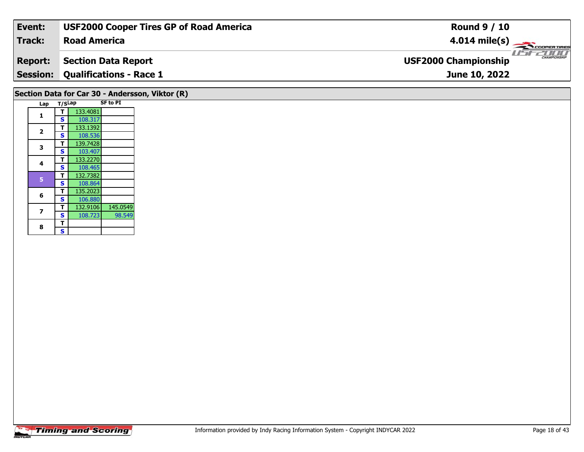| Event:                                          | <b>USF2000 Cooper Tires GP of Road America</b> | <b>Round 9 / 10</b>                         |  |  |  |  |  |  |  |  |
|-------------------------------------------------|------------------------------------------------|---------------------------------------------|--|--|--|--|--|--|--|--|
| Track:                                          | <b>Road America</b>                            | $4.014 \text{ mile(s)}$                     |  |  |  |  |  |  |  |  |
| <b>Report:</b>                                  | <b>Section Data Report</b>                     | CHAMPIONSHIP<br><b>USF2000 Championship</b> |  |  |  |  |  |  |  |  |
| <b>Session:</b>                                 | <b>Qualifications - Race 1</b>                 | June 10, 2022                               |  |  |  |  |  |  |  |  |
| Section Data for Car 30 - Andersson, Viktor (R) |                                                |                                             |  |  |  |  |  |  |  |  |

| Lap            | T/SLap |          | <b>SF to PI</b> |
|----------------|--------|----------|-----------------|
| 1              | т      | 133.4081 |                 |
|                | S      | 108.317  |                 |
| $\overline{2}$ | т      | 133.1392 |                 |
|                | S      | 108.536  |                 |
| 3              | т      | 139.7428 |                 |
|                | S      | 103.407  |                 |
| 4              | т      | 133.2270 |                 |
|                | S      | 108.465  |                 |
| 5              | т      | 132.7382 |                 |
|                | S      | 108.864  |                 |
| 6              | т      | 135.2023 |                 |
|                | S      | 106.880  |                 |
| 7              | т      | 132.9106 | 145.0549        |
|                | S      | 108.723  | 98.549          |
| 8              | т      |          |                 |
|                | Ś      |          |                 |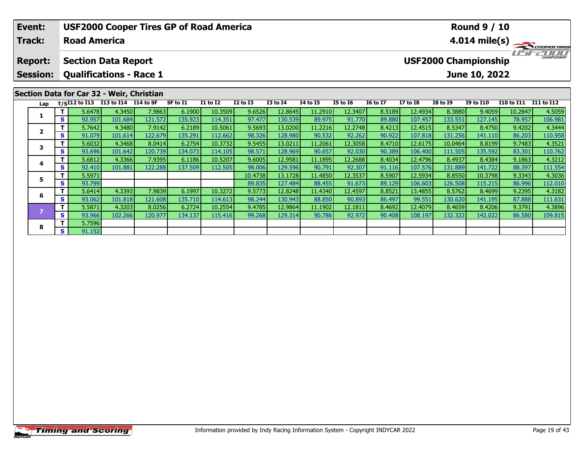|  | Event:          |              |                            |                                           | <b>USF2000 Cooper Tires GP of Road America</b> |          |                 |                 |                 |                 | <b>Round 9 / 10</b> |                 |                 |                 |                                             |            |                         |  |  |  |
|--|-----------------|--------------|----------------------------|-------------------------------------------|------------------------------------------------|----------|-----------------|-----------------|-----------------|-----------------|---------------------|-----------------|-----------------|-----------------|---------------------------------------------|------------|-------------------------|--|--|--|
|  | <b>Track:</b>   |              | <b>Road America</b>        |                                           |                                                |          |                 |                 |                 |                 |                     |                 |                 |                 |                                             |            | $4.014 \text{ mile(s)}$ |  |  |  |
|  | <b>Report:</b>  |              | <b>Section Data Report</b> |                                           |                                                |          |                 |                 |                 |                 |                     |                 |                 |                 | CHAMPIONSHIP<br><b>USF2000 Championship</b> |            |                         |  |  |  |
|  | <b>Session:</b> |              |                            | <b>Qualifications - Race 1</b>            |                                                |          |                 |                 |                 |                 |                     |                 |                 |                 | June 10, 2022                               |            |                         |  |  |  |
|  |                 |              |                            | Section Data for Car 32 - Weir, Christian |                                                |          |                 |                 |                 |                 |                     |                 |                 |                 |                                             |            |                         |  |  |  |
|  | Lap             |              |                            | $T/SI12$ to I13 I13 to I14 I14 to SF      |                                                | SF to I1 | <b>I1 to I2</b> | <b>I2 to I3</b> | <b>I3 to I4</b> | <b>I4 to I5</b> | <b>I5 to 16</b>     | <b>16 to 17</b> | <b>I7 to I8</b> | <b>I8 to 19</b> | <b>I9 to I10</b>                            | I10 to I11 | <b>I11 to I12</b>       |  |  |  |
|  |                 |              | 5.6478                     | 4.3450                                    | 7.9863                                         | 6.1900   | 10.3509         | 9.6526          | 12.8645         | 11.2910         | 12.3407             | 8.5189          | 12.4934         | 8.3880          | 9.4059                                      | 10.2847    | 4.5059                  |  |  |  |
|  |                 | s l          | 92.957                     | 101.684                                   | 121.572                                        | 135.923  | 114.351         | 97.477          | 130.539         | 89.975          | 91.770              | 89.880          | 107.457         | 133.551         | 127.145                                     | 78.957     | 106.981                 |  |  |  |
|  | $\overline{2}$  |              | 5.7642                     | 4.3480                                    | 7.9142                                         | 6.2189   | 10.5061         | 9.5693          | 13.0200         | 11.2216         | 12.2748             | 8.4213          | 12.4515         | 8.5347          | 8.4750                                      | 9.4202     | 4.3444                  |  |  |  |
|  |                 | s l          | 91.079                     | 101.614                                   | 122.679                                        | 135.291  | 112.662         | 98.326          | 128.980         | 90.532          | 92.262              | 90.922          | 107.818         | 131.256         | 141.110                                     | 86.203     | 110.958                 |  |  |  |
|  | 3               |              | 5.6032                     | 4.3468                                    | 8.0414                                         | 6.2754   | 10.3732         | 9.5455          | 13.0211         | 11.2061         | 12.3058             | 8.4710          | 12.6175         | 10.0464         | 8.8199                                      | 9.7483     | 4.3521                  |  |  |  |
|  |                 | $\mathbf{s}$ | 93.696                     | 101.642                                   | 120.739                                        | 134.073  | 114.105         | 98.571          | 128.969         | 90.657          | 92.030              | 90.389          | 106.400         | 111.505         | 135.592                                     | 83.301     | 110.762                 |  |  |  |
|  | 4               |              | 5.6812                     | 4.3366                                    | 7.9395                                         | 6.1186   | 10.5207         | 9.6005          | 12.9581         | 11.1895         | 12.2688             | 8.4034          | 12.4796         | 8.4937          | 8.4384                                      | 9.1863     | 4.3212                  |  |  |  |
|  |                 | S l          | 92.410                     | 101.881                                   | 122.288                                        | 137.509  | 112.505         | 98,006          | 129.596         | 90.791          | 92.307              | 91.116          | 107.576         | 131.889         | 141.722                                     | 88.397     | 111.554                 |  |  |  |

**<sup>T</sup>** 5.5971 10.4738 13.1728 11.4850 12.3537 8.5907 12.5934 8.8550 10.3798 9.3343 4.3036 **<sup>S</sup>** 93.799 89.835 127.484 88.455 91.673 89.129 106.603 126.508 115.215 86.996 112.010

**<sup>T</sup>** 5.6414 4.3393 7.9839 6.1997 10.3272 9.5773 12.8248 11.4340 12.4597 8.8521 13.4855 8.5762 8.4699 9.2395 4.3182 **<sup>S</sup>** 93.062 101.818 121.608 135.710 114.613 98.244 130.943 88.850 90.893 86.497 99.551 130.620 141.195 87.888 111.631

7 | T | 5.5871 |4.3203 | 8.0256 | 6.2724 | 10.2554 | 9.4785 | 12.9864 | 11.1902 | 12.1811 | 8.4692 | 12.4079 | 8.4659 | 8.4206 | 9.3791 | 4.3896 | 4.3896 | 4.3896 | 4.3896 | 120.977 | 134.137 | 115.416 | 99.268 | 129.314 |

**5**

**6**

**8**

**<sup>T</sup>** 5.7596 **<sup>S</sup>** 91.152

111.631<br>4.3896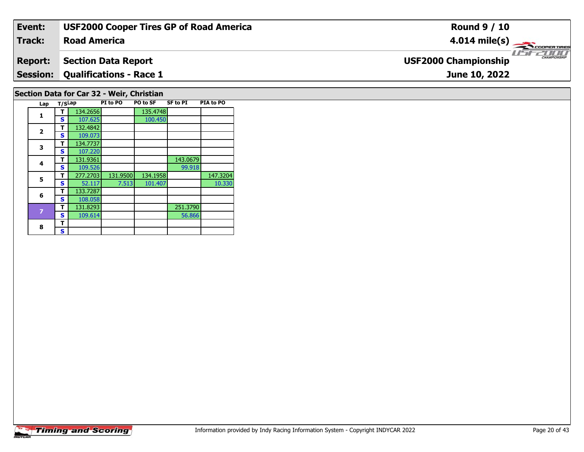| Event:                                    | <b>USF2000 Cooper Tires GP of Road America</b> | <b>Round 9 / 10</b>                                |  |  |  |  |  |  |  |  |  |
|-------------------------------------------|------------------------------------------------|----------------------------------------------------|--|--|--|--|--|--|--|--|--|
| Track:                                    | <b>Road America</b>                            | $4.014 \text{ mile(s)}$                            |  |  |  |  |  |  |  |  |  |
| <b>Report:</b>                            | <b>Section Data Report</b>                     | <b>CHAMPIONSHIP</b><br><b>USF2000 Championship</b> |  |  |  |  |  |  |  |  |  |
|                                           | <b>Session: Qualifications - Race 1</b>        | June 10, 2022                                      |  |  |  |  |  |  |  |  |  |
| Section Data for Car 32 - Weir, Christian |                                                |                                                    |  |  |  |  |  |  |  |  |  |

| Lap                     | T/SLap |          | PI to PO | PO to SF | <b>SF to PI</b><br>PIA to PO |          |  |  |  |
|-------------------------|--------|----------|----------|----------|------------------------------|----------|--|--|--|
| $\mathbf{1}$            | т      | 134.2656 |          | 135.4748 |                              |          |  |  |  |
|                         | S      | 107.625  |          | 100.450  |                              |          |  |  |  |
| $\overline{\mathbf{2}}$ | т      | 132.4842 |          |          |                              |          |  |  |  |
|                         | S      | 109.073  |          |          |                              |          |  |  |  |
| 3                       | т      | 134.7737 |          |          |                              |          |  |  |  |
|                         | S      | 107.220  |          |          |                              |          |  |  |  |
| 4                       | т      | 131.9361 |          |          | 143.0679                     |          |  |  |  |
|                         | S      | 109.526  |          |          | 99.918                       |          |  |  |  |
| 5                       | т      | 277.2703 | 131.9500 | 134.1958 |                              | 147.3204 |  |  |  |
|                         | S      | 52.117   | 7.513    | 101.407  |                              | 10.330   |  |  |  |
| 6                       | т      | 133.7287 |          |          |                              |          |  |  |  |
|                         | s      | 108.058  |          |          |                              |          |  |  |  |
| $\overline{z}$          | т      | 131.8293 |          |          | 251.3790                     |          |  |  |  |
|                         | S      | 109.614  |          |          | 56.866                       |          |  |  |  |
| 8                       | т      |          |          |          |                              |          |  |  |  |
|                         | S      |          |          |          |                              |          |  |  |  |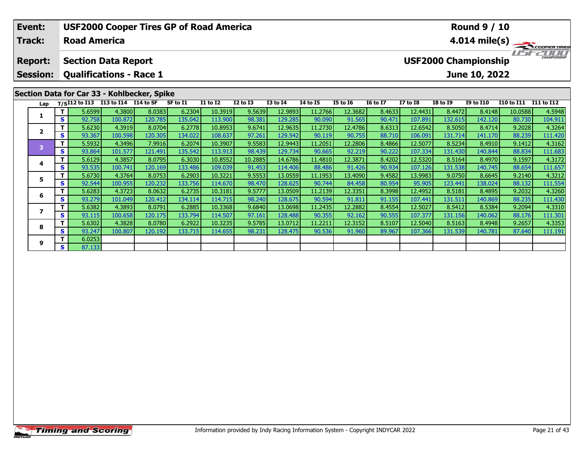|                                                                                                   | <b>USF2000 Cooper Tires GP of Road America</b><br>Event:<br>Track:<br><b>Road America</b> |              |                                                 |         |         |          |                 |              |                 |                 |                 |                 | <b>Round 9 / 10</b><br>4.014 mile(s)                                               |                 |                  |                       |         |  |
|---------------------------------------------------------------------------------------------------|-------------------------------------------------------------------------------------------|--------------|-------------------------------------------------|---------|---------|----------|-----------------|--------------|-----------------|-----------------|-----------------|-----------------|------------------------------------------------------------------------------------|-----------------|------------------|-----------------------|---------|--|
| <b>Section Data Report</b><br><b>Report:</b><br><b>Qualifications - Race 1</b><br><b>Session:</b> |                                                                                           |              |                                                 |         |         |          |                 |              |                 |                 |                 |                 | <b>IFFE</b><br><b>CHAMPIONSHIP</b><br><b>USF2000 Championship</b><br>June 10, 2022 |                 |                  |                       |         |  |
| Section Data for Car 33 - Kohlbecker, Spike                                                       |                                                                                           |              |                                                 |         |         |          |                 |              |                 |                 |                 |                 |                                                                                    |                 |                  |                       |         |  |
|                                                                                                   | Lap                                                                                       |              | T/SI12 to I13 I13 to I14 $\overline{114}$ to SF |         |         | SF to I1 | <b>I1 to I2</b> | $I2$ to $I3$ | <b>I3 to I4</b> | <b>I4 to I5</b> | <b>I5 to 16</b> | <b>16 to 17</b> | <b>I7 to I8</b>                                                                    | <b>I8 to I9</b> | <b>I9 to I10</b> | I10 to I11 I11 to I12 |         |  |
|                                                                                                   |                                                                                           | T I          | 5.6599                                          | 4.3800  | 8.0383  | 6.2304   | 10.3919         | 9.5639       | 12.9893         | 11.2766         | 12.3682         | 8.4633          | 12.4431                                                                            | 8.4472          | 8.4148           | 10.0588               | 4.5948  |  |
|                                                                                                   |                                                                                           | S.           | 92.758                                          | 100.872 | 120.785 | 135.042  | 113.900         | 98.381       | 129.285         | 90.090          | 91.565          | 90.471          | 107.891                                                                            | 132.615         | 142.120          | 80.730                | 104.911 |  |
|                                                                                                   | $\mathbf{2}$                                                                              | Τ.           | 5.6230                                          | 4.3919  | 8.0704  | 6.2778   | 10.8953         | 9.6741       | 12.9635         | 11.2730         | 12.4786         | 8.6313          | 12.6542                                                                            | 8.5050          | 8.4714           | 9.2028                | 4.3264  |  |
|                                                                                                   |                                                                                           | <b>S</b>     | 93.367                                          | 100.598 | 120.305 | 134.022  | 108.637         | 97.261       | 129.542         | 90.119          | 90.755          | 88.710          | 106.091                                                                            | 131.714         | 141.170          | 88.239                | 111.420 |  |
|                                                                                                   | $\overline{\mathbf{3}}$                                                                   | T.           | 5.5932                                          | 4.3496  | 7.9916  | 6.2074   | 10.3907         | 9.5583       | 12.9443         | 11.2051         | 12.2806         | 8.4866          | 12.5077                                                                            | 8.5234          | 8.4910           | 9.1412                | 4.3162  |  |
|                                                                                                   |                                                                                           | $\mathbf{s}$ | 93.864                                          | 101.577 | 121.491 | 135.542  | 113.913         | 98.439       | 129.734         | 90.665          | 92.219          | 90.222          | 107.334                                                                            | 131.430         | 140.844          | 88.834                | 111.683 |  |
|                                                                                                   | 4                                                                                         | Τ.           | 5.6129                                          | 4.3857  | 8.0795  | 6.3030   | 10.8552         | 10.2885      | 14.6786         | 11.4810         | 12.3871         | 8.4202          | 12.5320                                                                            | 8.5164          | 8.4970           | 9.1597                | 4.3172  |  |
|                                                                                                   |                                                                                           | S            | 93.535                                          | 100.741 | 120.169 | 133.486  | 109.039         | 91.453       | 114.406         | 88.486          | 91.426          | 90.934          | 107.126                                                                            | 131.538         | 140.745          | 88.654                | 111.657 |  |
|                                                                                                   | 5                                                                                         | T.           | 5.6730                                          | 4.3764  | 8.0753  | 6.2903   | 10.3221         | 9.5553       | 13.0559         | 11.1953         | 13.4090         | 9.4582          | 13.9983                                                                            | 9.0750          | 8.6645           | 9.2140                | 4.3212  |  |
|                                                                                                   |                                                                                           | S            | 92.544                                          | 100.955 | 120.232 | 133.756  | 114.670         | 98.470       | 128.625         | 90.744          | 84.458          | 80.954          | 95.905                                                                             | 123.441         | 138.024          | 88.132                | 111.554 |  |
|                                                                                                   | 6                                                                                         | Τ.           | 5.6283                                          | 4.3723  | 8.0632  | 6.2735   | 10.3181         | 9.5777       | 13.0509         | 11.2139         | 12.3351         | 8.3998          | 12.4952                                                                            | 8.5181          | 8.4895           | 9.2032                | 4.3260  |  |
|                                                                                                   |                                                                                           | S            | 93.279                                          | 101.049 | 120.412 | 134.114  | 114.715         | 98.240       | 128.675         | 90.594          | 91.811          | 91.155          | 107.441                                                                            | 131.511         | 140.869          | 88.235                | 111.430 |  |
|                                                                                                   |                                                                                           |              | 5.6382                                          | 4.3893  | 8.0791  | 6.2885   | 10.3368         | 9.6840       | 13.0698         | 11.2435         | 12.2882         | 8.4554          | 12.5027                                                                            | 8.5412          | 8.5384           | 9.2094                | 4.3310  |  |
|                                                                                                   | 7                                                                                         | S.           | 93.115                                          | 100.658 | 120.175 | 133.794  | 114.507         | 97.161       | 128.488         | 90.355          | 92.162          | 90.555          | 107.377                                                                            | 131.156         | 140.062          | 88.176                | 111.301 |  |

8 T | 5.6302 4.3828 8.0780 6.2922 10.3235 9.5785 13.0712 11.2211 12.3152 8.5107 12.5040 8.5163 8.4948 9.2657 4.3353<br>8 S 93.247 100.807 120.192 133.715 114.655 98.231 128.475 90.536 91.960 89.967 107.366 131.539 140.781 87.

**8**

**9**

**<sup>T</sup>** 6.0253 **<sup>S</sup>** 87.133

111.301<br>4.3353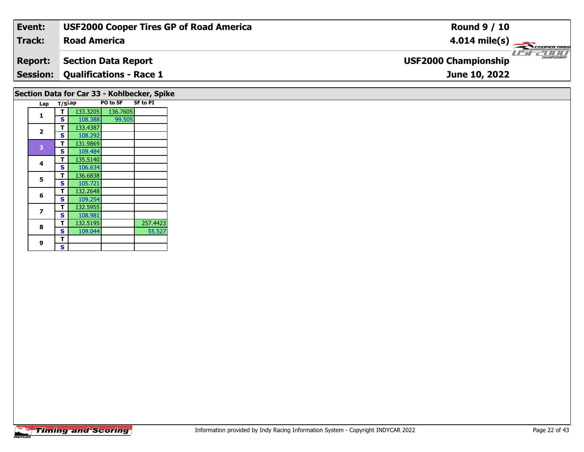| Event:                                      | <b>USF2000 Cooper Tires GP of Road America</b> | <b>Round 9 / 10</b>                                     |  |  |  |  |  |  |  |  |  |
|---------------------------------------------|------------------------------------------------|---------------------------------------------------------|--|--|--|--|--|--|--|--|--|
| Track:                                      | <b>Road America</b>                            | $4.014 \text{ mile(s)}$                                 |  |  |  |  |  |  |  |  |  |
| <b>Report:</b>                              | <b>Section Data Report</b>                     | <b>LIST CHAMPIONSHIP</b><br><b>USF2000 Championship</b> |  |  |  |  |  |  |  |  |  |
| <b>Session:</b>                             | <b>Qualifications - Race 1</b>                 | June 10, 2022                                           |  |  |  |  |  |  |  |  |  |
| Section Data for Car 33 - Kohlbecker, Spike |                                                |                                                         |  |  |  |  |  |  |  |  |  |

| Lap |                                           |          |          | <b>SF to PI</b> |
|-----|-------------------------------------------|----------|----------|-----------------|
|     |                                           | 133.3205 | 136.7605 |                 |
|     | S                                         | 108.388  | 99.505   |                 |
|     | т                                         | 133.4387 |          |                 |
|     | S                                         | 108.292  |          |                 |
|     | т                                         | 131.9869 |          |                 |
|     | S                                         | 109.484  |          |                 |
|     | т                                         | 135.5140 |          |                 |
|     | S                                         | 106.634  |          |                 |
|     | т                                         | 136.6838 |          |                 |
|     | S                                         | 105.721  |          |                 |
|     | т                                         | 132.2648 |          |                 |
|     | S                                         | 109.254  |          |                 |
|     | т                                         | 132.5955 |          |                 |
|     | S                                         | 108.981  |          |                 |
|     | т                                         | 132.5195 |          | 257.4423        |
|     | S                                         | 109.044  |          | 55.527          |
|     | т                                         |          |          |                 |
|     | S                                         |          |          |                 |
|     | 1<br>2<br>3<br>4<br>5<br>6<br>7<br>8<br>9 |          | T/SLap   | PO to SF        |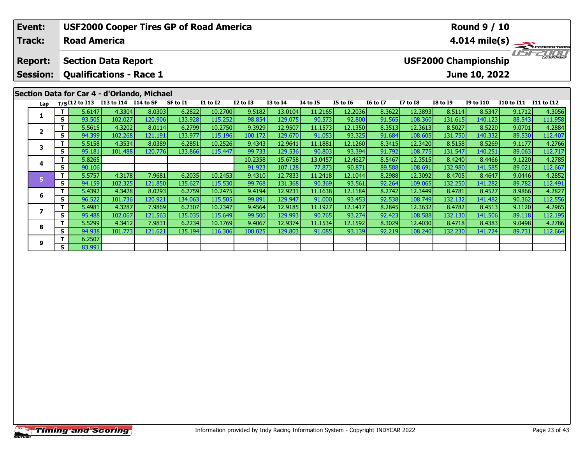| Event:          |          | <b>USF2000 Cooper Tires GP of Road America</b> |                   |                   |                   |                    |                  |                    |                   | <b>Round 9 / 10</b> |                  |                                   |                   |                             |                   |                   |
|-----------------|----------|------------------------------------------------|-------------------|-------------------|-------------------|--------------------|------------------|--------------------|-------------------|---------------------|------------------|-----------------------------------|-------------------|-----------------------------|-------------------|-------------------|
| <b>Track:</b>   |          | <b>Road America</b>                            |                   |                   |                   |                    |                  |                    |                   |                     |                  | $4.014 \text{ mile(s)}$<br>i isan |                   |                             |                   |                   |
| <b>Report:</b>  |          | <b>Section Data Report</b>                     |                   |                   |                   |                    |                  |                    |                   |                     |                  |                                   |                   | <b>USF2000 Championship</b> |                   | CHAMPIONSHIP      |
| <b>Session:</b> |          | <b>Qualifications - Race 1</b>                 |                   |                   |                   |                    |                  |                    |                   |                     |                  |                                   |                   | June 10, 2022               |                   |                   |
|                 |          | Section Data for Car 4 - d'Orlando, Michael    |                   |                   |                   |                    |                  |                    |                   |                     |                  |                                   |                   |                             |                   |                   |
| Lap             |          | T/SI12 to I13 I13 to I14 I14 to SF             |                   |                   | SF to I1          | <b>I1 to I2</b>    | <b>I2 to I3</b>  | <b>I3 to I4</b>    | 14 to 15          | <b>I5 to 16</b>     | <b>16 to 17</b>  | <b>I7 to I8</b>                   | <b>I8 to 19</b>   | <b>I9 to I10</b>            | <b>I10 to I11</b> | I11 to I12        |
|                 | Τ.<br>S. | 5.6147<br>93.505                               | 4.3304<br>102.027 | 8.0303<br>120.906 | 6.2822<br>133.928 | 10.2700<br>115.252 | 9.5182<br>98.854 | 13.0104<br>129.075 | 11.2165<br>90.573 | 12.2036<br>92.800   | 8.3622<br>91.565 | 12.3893<br>108.360                | 8.5114<br>131.615 | 8.5347<br>140.123           | 9.1712<br>88.543  | 4.3056<br>111.958 |
|                 | Τ.       | 5.5615                                         | 4.3202            | 8.0114            | 6.2799            | 10.2750            | 9.3929           | 12.9507            | 11.1573           | 12.1350             | 8.3513           | 12.3613                           | 8.5027            | 8.5220                      | 9.0701            | 4.2884            |
| $\overline{2}$  | S.       | 94.399                                         | 102.268           | 121.191           | 133.977           | 115.196            | 100.172          | 129.670            | 91.053            | 93.325              | 91.684           | 108.605                           | 131.750           | 140.332                     | 89.530            | 112.407           |
|                 | Τ.       | 5.5158                                         | 4.3534            | 8.0389            | 6.2851            | 10.2526            | 9.4343           | 12.9641            | 11.1881           | 12.1260             | 8.3415           | 12.3420                           | 8.5158            | 8.5269                      | 9.1177            | 4.2766            |
| 3               | S.       | 95.181                                         | 101.488           | 120.776           | 133.866           | 115.447            | 99.733           | 129.536            | 90.803            | 93.394              | 91.792           | 108.775                           | 131.547           | 140.251                     | 89.063            | 112.717           |
|                 | Τ.       | 5.8265                                         |                   |                   |                   |                    | 10.2358          | 15.6758            | 13.0457           | 12.4627             | 8.5467           | 12.3515                           | 8.4240            | 8.4466                      | 9.1220            | 4.2785            |
| 4               | S        | 90.106                                         |                   |                   |                   |                    | 91.923           | 107.128            | 77.873            | 90.871              | 89.588           | 108.691                           | 132.980           | 141.585                     | 89.021            | 112.667           |
| 5.              | Τ.       | 5.5757                                         | 4.3178            | 7.9681            | 6.2035            | 10.2453            | 9.4310           | 12.7833            | 11.2418           | 12.1044             | 8.2988           | 12.3092                           | 8.4705            | 8.4647                      | 9.0446            | 4.2852            |
|                 | S        | 94.159                                         | 102.325           | 121.850           | 135.627           | 115.530            | 99.768           | 131.368            | 90.369            | 93.561              | 92.264           | 109.065                           | 132.250           | 141.282                     | 89.782            | 112.491           |
| 6               | Τ.       | 5.4392                                         | 4.3428            | 8.0293            | 6.2759            | 10.2475            | 9.4194           | 12.9231            | 11.1638           | 12.1184             | 8.2742           | 12.3449                           | 8.4781            | 8.4527                      | 8.9866            | 4.2827            |
|                 | S.       | 96.522                                         | 101.736           | 120.921           | 134.063           | 115.505            | 99.891           | 129.947            | 91.000            | 93.453              | 92.538           | 108.749                           | 132.132           | 141.482                     | 90.362            | 112.556           |
| 7               |          | 5.4981                                         | 4.3287            | 7.9869            | 6.2307            | 10.2347            | 9.4564           | 12.9185            | 11.1927           | 12.1417             | 8.2845           | 12.3632                           | 8.4782            | 8.4513                      | 9.1120            | 4.2965            |
|                 | S.       | 95.488                                         | 102.067           | 121.563           | 135.035           | 115.649            | 99.500           | 129.993            | 90.765            | 93.274              | 92.423           | 108.588                           | 132.130           | 141.506                     | 89.118            | 112.195           |

**<sup>T</sup>** 5.5299 4.3412 7.9831 6.2234 10.1769 9.4067 12.9374 11.1534 12.1592 8.3029 12.4030 8.4718 8.4383 9.0498 4.2786 **<sup>S</sup>** 94.938 101.773 121.621 135.194 116.306 100.025 129.803 91.085 93.139 92.219 108.240 132.230 141.724 89.731 112.664

**8**

**9**

**<sup>T</sup>** 6.2507 **<sup>S</sup>** 83.991

112.195<br>4.2786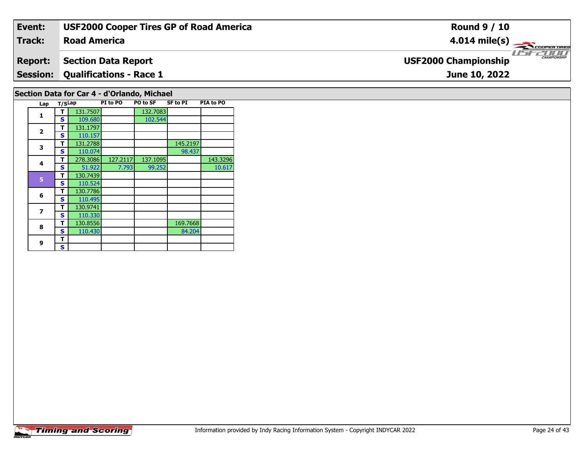| Event:                                      | <b>USF2000 Cooper Tires GP of Road America</b> | <b>Round 9 / 10</b>                                       |  |  |  |  |  |  |  |  |  |
|---------------------------------------------|------------------------------------------------|-----------------------------------------------------------|--|--|--|--|--|--|--|--|--|
| Track:                                      | <b>Road America</b>                            | $4.014 \text{ mile(s)}$                                   |  |  |  |  |  |  |  |  |  |
| <b>Report:</b>                              | Section Data Report                            | <b>LISITE CHAMPIONSHIP</b><br><b>USF2000 Championship</b> |  |  |  |  |  |  |  |  |  |
|                                             | <b>Session: Qualifications - Race 1</b>        | June 10, 2022                                             |  |  |  |  |  |  |  |  |  |
| Section Data for Car 4 - d'Orlando, Michael |                                                |                                                           |  |  |  |  |  |  |  |  |  |

| Lap                     | T/SLap |          | PI to PO | PO to SF | SF to PI | PIA to PO |
|-------------------------|--------|----------|----------|----------|----------|-----------|
| 1                       | т      | 131.7507 |          | 132.7083 |          |           |
|                         | S      | 109.680  |          | 102.544  |          |           |
| $\overline{\mathbf{2}}$ | т      | 131.1797 |          |          |          |           |
|                         | S      | 110.157  |          |          |          |           |
| 3                       | т      | 131.2788 |          |          | 145.2197 |           |
|                         | S      | 110.074  |          |          | 98.437   |           |
| 4                       | т      | 278.3086 | 127.2117 | 137.1095 |          | 143.3296  |
|                         | S      | 51.922   | 7.793    | 99.252   |          | 10.617    |
| 5                       | т      | 130.7439 |          |          |          |           |
|                         | S      | 110.524  |          |          |          |           |
| 6                       | т      | 130.7786 |          |          |          |           |
|                         | S      | 110.495  |          |          |          |           |
| 7                       | т      | 130.9741 |          |          |          |           |
|                         | S      | 110.330  |          |          |          |           |
| 8                       | т      | 130.8556 |          |          | 169.7668 |           |
|                         | S      | 110.430  |          |          | 84.204   |           |
| 9                       | т      |          |          |          |          |           |
|                         | S      |          |          |          |          |           |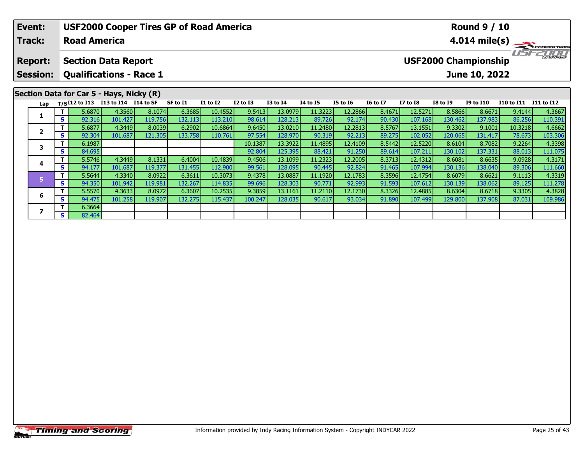|                                                                                                                                                                                                                                  | Event:                            |    |                     | <b>USF2000 Cooper Tires GP of Road America</b>               |         |         |         |         |         |         |         |                 | <b>Round 9 / 10</b>     |                             |                   |            |         |  |  |
|----------------------------------------------------------------------------------------------------------------------------------------------------------------------------------------------------------------------------------|-----------------------------------|----|---------------------|--------------------------------------------------------------|---------|---------|---------|---------|---------|---------|---------|-----------------|-------------------------|-----------------------------|-------------------|------------|---------|--|--|
|                                                                                                                                                                                                                                  | <b>Track:</b>                     |    | <b>Road America</b> |                                                              |         |         |         |         |         |         |         |                 | $4.014 \text{ mile(s)}$ |                             |                   |            |         |  |  |
|                                                                                                                                                                                                                                  | <b>Report:</b><br><b>Session:</b> |    |                     | <b>Section Data Report</b><br><b>Qualifications - Race 1</b> |         |         |         |         |         |         |         |                 |                         | <b>USF2000 Championship</b> | June 10, 2022     |            |         |  |  |
| Section Data for Car 5 - Hays, Nicky (R)<br>T/SI12 to I13 I13 to I14 $\overline{114}$ to SF<br>SF to I1<br><b>I3 to I4</b><br><b>I5 to 16</b><br><b>16 to 17</b><br><b>I1 to I2</b><br><b>I2 to I3</b><br><b>I4 to I5</b><br>Lap |                                   |    |                     |                                                              |         |         |         |         |         |         |         | <b>I7 to I8</b> | <b>I8 to I9</b>         | <b>I9 to I10</b>            | <b>I10 to I11</b> | I11 to I12 |         |  |  |
|                                                                                                                                                                                                                                  |                                   |    | 5.6870              | 4.3560                                                       | 8.1074  | 6.3685  | 10.4552 | 9.5413  | 13.0979 | 11.3223 | 12.2866 | 8.4671          | 12.5271                 | 8.5866                      | 8.6671            | 9.4144     | 4.3667  |  |  |
|                                                                                                                                                                                                                                  | 1                                 | S. | 92.316              | 101.427                                                      | 119.756 | 132.113 | 113.210 | 98.614  | 128.213 | 89.726  | 92.174  | 90.430          | 107.168                 | 130.462                     | 137.983           | 86.256     | 110.391 |  |  |
|                                                                                                                                                                                                                                  | $\overline{\mathbf{2}}$           |    | 5.6877              | 4.3449                                                       | 8.0039  | 6.2902  | 10.6864 | 9.6450  | 13.0210 | 11.2480 | 12.2813 | 8.5767          | 13.1551                 | 9.3302                      | 9.1001            | 10.3218    | 4.6662  |  |  |
|                                                                                                                                                                                                                                  |                                   | S. | 92.304              | 101.687                                                      | 121.305 | 133.758 | 110.761 | 97.554  | 128.970 | 90.319  | 92.213  | 89.275          | 102.052                 | 120.065                     | 131.417           | 78.673     | 103.306 |  |  |
|                                                                                                                                                                                                                                  | 3                                 |    | 6.1987              |                                                              |         |         |         | 10.1387 | 13.3922 | 11.4895 | 12.4109 | 8.5442          | 12.5220                 | 8.6104                      | 8.7082            | 9.2264     | 4.3398  |  |  |
|                                                                                                                                                                                                                                  |                                   | S  | 84.695              |                                                              |         |         |         | 92.804  | 125.395 | 88.421  | 91.250  | 89.614          | 107.211                 | 130.102                     | 137.331           | 88.013     | 111.075 |  |  |
|                                                                                                                                                                                                                                  |                                   |    | 5.5746              | 4.3449                                                       | 8.1331  | 6.4004  | 10.4839 | 9.4506  | 13.1099 | 11.2323 | 12.2005 | 8.3713          | 12.4312                 | 8.6081                      | 8.6635            | 9.0928     | 4.3171  |  |  |
|                                                                                                                                                                                                                                  | 4                                 | S. | 94.177              | 101.687                                                      | 119.377 | 131.455 | 112.900 | 99.561  | 128.095 | 90.445  | 92.824  | 91.465          | 107.994                 | 130.136                     | 138.040           | 89.306     | 111.660 |  |  |
|                                                                                                                                                                                                                                  | 5                                 |    | 5.5644              | 4.3340                                                       | 8.0922  | 6.3611  | 10.3073 | 9.4378  | 13.0887 | 11.1920 | 12.1783 | 8.3596          | 12.4754                 | 8.6079                      | 8.6621            | 9.1113     | 4.3319  |  |  |
|                                                                                                                                                                                                                                  |                                   | S. | 94.350              | 101.942                                                      | 119.981 | 132.267 | 114.835 | 99.696  | 128.303 | 90.771  | 92.993  | 91.593          | 107.612                 | 130.139                     | 138.062           | 89.125     | 111.278 |  |  |

6 | T | 5.5570| 4.3633| 8.0972| 6.3607| 10.2535| 9.3859| 13.1161| 11.2110| 12.1730| 8.3326| 12.4885| 8.6304| 8.6718| 9.3305| 4.3828<br>| S | 94.475| 101.258| 119.907| 132.275| 115.437| 100.247| 128.035| 90.617| 93.034| 91.890

**6**

**7**

**7 S**  $\begin{array}{|c|c|c|c|} \hline \textbf{S} & \textbf{6.3664} \\ \hline \textbf{S} & \textbf{82.464} \\ \hline \end{array}$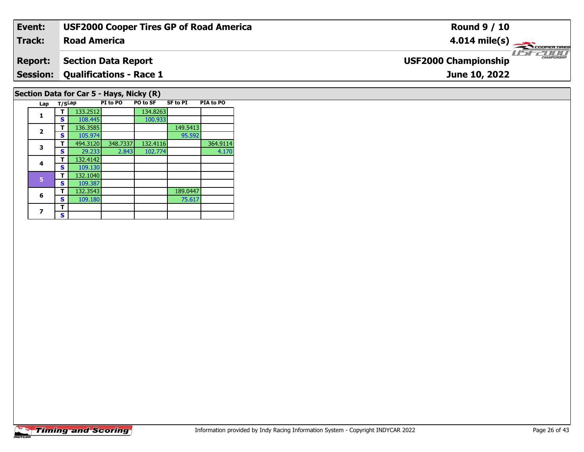| Event:                                                                                                             | <b>USF2000 Cooper Tires GP of Road America</b> | <b>Round 9 / 10</b>                                    |  |  |  |  |  |  |  |  |
|--------------------------------------------------------------------------------------------------------------------|------------------------------------------------|--------------------------------------------------------|--|--|--|--|--|--|--|--|
| <b>Track:</b>                                                                                                      | <b>Road America</b>                            | $4.014 \text{ mile(s)}$                                |  |  |  |  |  |  |  |  |
| <b>Report:</b>                                                                                                     | <b>Section Data Report</b>                     | USF2000<br>CHAMPIONSHIP<br><b>USF2000 Championship</b> |  |  |  |  |  |  |  |  |
| <b>Session:</b>                                                                                                    | <b>Qualifications - Race 1</b>                 | June 10, 2022                                          |  |  |  |  |  |  |  |  |
| Section Data for Car 5 - Hays, Nicky (R)<br>SE to PT<br><b>DTA to DO</b><br><b>PT to PO BO to SE</b><br>lan Ticlan |                                                |                                                        |  |  |  |  |  |  |  |  |

| Lap            | T/SLap |          | PI to PO | PO to SF | SF to PI | <b>PIA to PO</b> |
|----------------|--------|----------|----------|----------|----------|------------------|
| 1              |        | 133.2512 |          | 134.8263 |          |                  |
|                | S      | 108.445  |          | 100.933  |          |                  |
| $\overline{2}$ | т      | 136.3585 |          |          | 149.5413 |                  |
|                | S      | 105.974  |          |          | 95.592   |                  |
| 3              | т      | 494.3120 | 348.7337 | 132.4116 |          | 364.9114         |
|                | S      | 29.233   | 2.843    | 102.774  |          | 4.170            |
| 4              | т      | 132.4142 |          |          |          |                  |
|                | S      | 109.130  |          |          |          |                  |
| 5              | т      | 132.1040 |          |          |          |                  |
|                | S      | 109.387  |          |          |          |                  |
| 6              | т      | 132.3543 |          |          | 189.0447 |                  |
|                | S      | 109.180  |          |          | 75.617   |                  |
| 7              | т      |          |          |          |          |                  |
|                | S      |          |          |          |          |                  |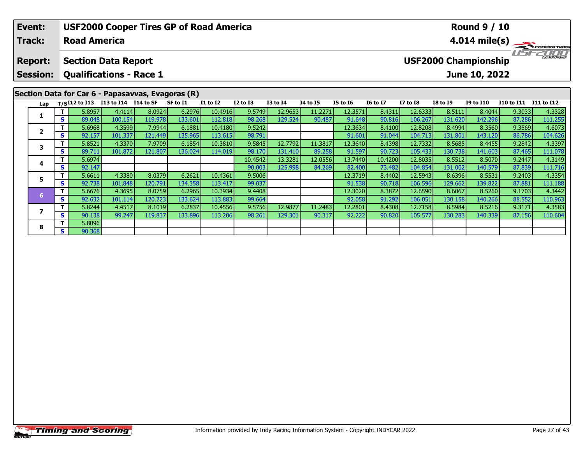|                                                                                                                                  | Event:                                            |    |                     | <b>USF2000 Cooper Tires GP of Road America</b> |         |          |                 |                 |                 |                 |                 |                 |                         |                 | <b>Round 9 / 10</b> |                   |                   |  |  |
|----------------------------------------------------------------------------------------------------------------------------------|---------------------------------------------------|----|---------------------|------------------------------------------------|---------|----------|-----------------|-----------------|-----------------|-----------------|-----------------|-----------------|-------------------------|-----------------|---------------------|-------------------|-------------------|--|--|
|                                                                                                                                  | <b>Track:</b>                                     |    | <b>Road America</b> |                                                |         |          |                 |                 |                 |                 |                 |                 | $4.014 \text{ mile(s)}$ |                 |                     |                   |                   |  |  |
| <b>USF2000 Championship</b><br><b>Section Data Report</b><br><b>Report:</b><br><b>Qualifications - Race 1</b><br><b>Session:</b> |                                                   |    |                     |                                                |         |          |                 |                 |                 |                 |                 |                 |                         | June 10, 2022   |                     |                   |                   |  |  |
|                                                                                                                                  | Section Data for Car 6 - Papasavvas, Evagoras (R) |    |                     |                                                |         |          |                 |                 |                 |                 |                 |                 |                         |                 |                     |                   |                   |  |  |
|                                                                                                                                  | Lap                                               |    |                     | T/SI12 to I13 I13 to I14 I14 to SF             |         | SF to I1 | <b>I1 to I2</b> | <b>I2 to I3</b> | <b>I3 to I4</b> | <b>I4 to I5</b> | <b>I5 to 16</b> | <b>16 to 17</b> | <b>I7 to I8</b>         | <b>I8 to I9</b> | <b>I9 to I10</b>    | <b>I10 to I11</b> | <b>I11 to I12</b> |  |  |
|                                                                                                                                  |                                                   |    | 5.8957              | 4.4114                                         | 8.0924  | 6.2976   | 10.4916         | 9.5749          | 12.9653         | 11.2271         | 12.3571         | 8.4311          | 12.6333                 | 8.5111          | 8.4044              | 9.3033            | 4.3328            |  |  |
|                                                                                                                                  |                                                   | S. | 89.048              | 100.154                                        | 119.978 | 133.601  | 112.818         | 98.268          | 129.524         | 90.487          | 91.648          | 90.816          | 106.267                 | 131.620         | 142.296             | 87.286            | 111.255           |  |  |
|                                                                                                                                  |                                                   |    | 5.6968              | 4.3599                                         | 7.9944  | 6.1881   | 10.4180         | 9.5242          |                 |                 | 12.3634         | 8.4100          | 12.8208                 | 8.4994          | 8.3560              | 9.3569            | 4.6073            |  |  |
|                                                                                                                                  | $\overline{\mathbf{2}}$                           | S. | 92.157              | 101.337                                        | 121.449 | 135.965  | 113.615         | 98.791          |                 |                 | 91.601          | 91.044          | 104.713                 | 131.801         | 143.120             | 86.786            | 104.626           |  |  |
|                                                                                                                                  | 3                                                 |    | 5.8521              | 4.3370                                         | 7.9709  | 6.1854   | 10.3810         | 9.5845          | 12.7792         | 11.3817         | 12.3640         | 8.4398          | 12.7332                 | 8.5685          | 8.4455              | 9.2842            | 4.3397            |  |  |
|                                                                                                                                  |                                                   | S  | 89.711              | 101.872                                        | 121.807 | 136.024  | 114.019         | 98.170          | 131.410         | 89.258          | 91.597          | 90.723          | 105.433                 | 130.738         | 141.603             | 87.465            | 111.078           |  |  |
|                                                                                                                                  |                                                   |    | 5.6974              |                                                |         |          |                 | 10.4542         | 13.3281         | 12.0556         | 13.7440         | 10.4200         | 12.8035                 | 8.5512          | 8.5070              | 9.2447            | 4.3149            |  |  |
|                                                                                                                                  | 4                                                 | S. | 92.147              |                                                |         |          |                 | 90.003          | 125.998         | 84.269          | 82.400          | 73.482          | 104.854                 | 131.002         | 140.579             | 87.839            | 111.716           |  |  |
|                                                                                                                                  | 5                                                 |    | 5.6611              | 4.3380                                         | 8.0379  | 6.2621   | 10.4361         | 9.5006          |                 |                 | 12.3719         | 8.4402          | 12.5943                 | 8.6396          | 8.5531              | 9.2403            | 4.3354            |  |  |
|                                                                                                                                  |                                                   | S  | 92.738              | 101.848                                        | 120.791 | 134.358  | 113.417         | 99.037          |                 |                 | 91.538          | 90.718          | 106.596                 | 129.662         | 139.822             | 87.881            | 111.188           |  |  |

**<sup>T</sup>** 5.6676 4.3695 8.0759 6.2965 10.3934 9.4408 12.3020 8.3872 12.6590 8.6067 8.5260 9.1703 4.3442 **<sup>S</sup>** 92.632 101.114 120.223 133.624 113.883 99.664 92.058 91.292 106.051 130.158 140.266 88.552 110.963

7 | T | 5.8244| 4.4517| 8.1019| 6.2837| 10.4556| 9.5756| 12.9877| 11.2483| 12.2801| 8.4308| 12.7158| 8.5984| 8.5216| 9.3171| 4.3583<br>7 | S | 90.138 | 99.247| 119.837| 133.896| 113.206| 98.261| 129.301| 90.317| 92.222| 90.82

**7**

**8**

**<sup>T</sup>** 5.8096 **<sup>S</sup>** 90.368

110.963<br>4.3583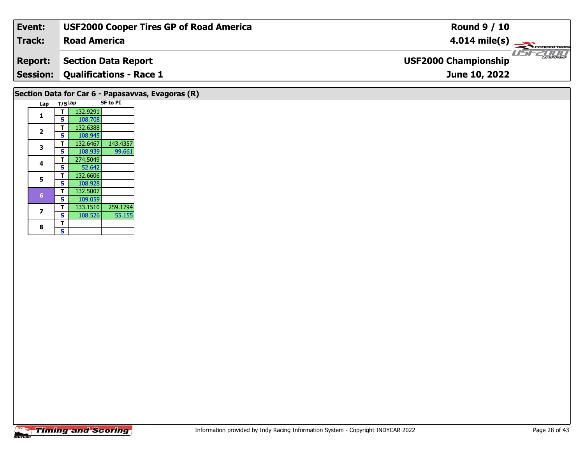| Event:          | <b>USF2000 Cooper Tires GP of Road America</b>    | <b>Round 9 / 10</b>                         |  |  |  |  |  |  |  |
|-----------------|---------------------------------------------------|---------------------------------------------|--|--|--|--|--|--|--|
| Track:          | <b>Road America</b>                               | $4.014$ mile(s)<br><b>COOPERTIRES</b>       |  |  |  |  |  |  |  |
| <b>Report:</b>  | <b>Section Data Report</b>                        | CHAMPIONSHIP<br><b>USF2000 Championship</b> |  |  |  |  |  |  |  |
| <b>Session:</b> | <b>Qualifications - Race 1</b>                    | June 10, 2022                               |  |  |  |  |  |  |  |
|                 | Section Data for Car 6 - Papasavvas, Evagoras (R) |                                             |  |  |  |  |  |  |  |
| Lap             | <b>SF to PI</b><br>T/SLap                         |                                             |  |  |  |  |  |  |  |
|                 | 132.9291                                          |                                             |  |  |  |  |  |  |  |
|                 | 108.708<br>S.                                     |                                             |  |  |  |  |  |  |  |

**T** 132.6388

**5 T** 132.6606<br>**S** 108.928

108.945<br>132.6467

 **<sup>T</sup>** 274.5049 **<sup>S</sup>** 52.64252.642

**<sup>T</sup>** 132.5007 **<sup>S</sup>** 109.059

133.1510

**<sup>T</sup>** 133.1510 259.1794 **<sup>S</sup>** 108.526 55.155

**<sup>T</sup>** 132.6467 143.4357 **<sup>S</sup>** 108.939 99.661

99.661

55.155

**2**

**3**

**4**

**5**

**7**

8  $\frac{1}{s}$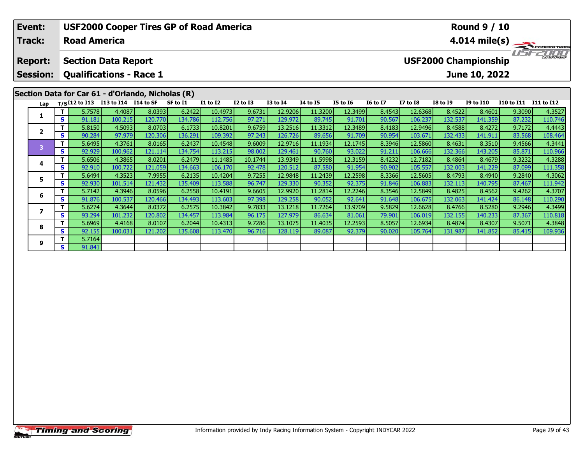| Event:                   |                                                 | <b>USF2000 Cooper Tires GP of Road America</b>    |         |         |          |                 |                 |                 |                 |                         | <b>Round 9 / 10</b> |                 |                 |                             |                       |                     |  |  |
|--------------------------|-------------------------------------------------|---------------------------------------------------|---------|---------|----------|-----------------|-----------------|-----------------|-----------------|-------------------------|---------------------|-----------------|-----------------|-----------------------------|-----------------------|---------------------|--|--|
| Track:                   |                                                 | <b>Road America</b>                               |         |         |          |                 |                 |                 |                 | $4.014 \text{ mile(s)}$ |                     |                 |                 |                             |                       |                     |  |  |
| <b>Report:</b>           |                                                 | <b>Section Data Report</b>                        |         |         |          |                 |                 |                 |                 |                         |                     |                 |                 | <b>USF2000 Championship</b> |                       | <b>CHAMPIONSHIP</b> |  |  |
| <b>Session:</b>          | <b>Qualifications - Race 1</b><br>June 10, 2022 |                                                   |         |         |          |                 |                 |                 |                 |                         |                     |                 |                 |                             |                       |                     |  |  |
|                          |                                                 | Section Data for Car 61 - d'Orlando, Nicholas (R) |         |         |          |                 |                 |                 |                 |                         |                     |                 |                 |                             |                       |                     |  |  |
| Lap                      |                                                 | T/SI12 to I13 I13 to I14 I14 to SF                |         |         | SF to I1 | <b>I1 to I2</b> | <b>I2 to I3</b> | <b>I3 to I4</b> | <b>14 to 15</b> | <b>I5 to 16</b>         | <b>16 to 17</b>     | <b>I7 to I8</b> | <b>I8 to 19</b> | <b>I9 to I10</b>            | I10 to I11 I11 to I12 |                     |  |  |
|                          |                                                 | 5.7578                                            | 4.4087  | 8.0393  | 6.2422   | 10.4973         | 9.6731          | 12.9206         | 11.3200         | 12.3499                 | 8.4543              | 12.6368         | 8.4522          | 8.4601                      | 9.3090                | 4.3527              |  |  |
|                          | S.                                              | 91.181                                            | 100.215 | 120.770 | 134.786  | 112.756         | 97.271          | 129.972         | 89.745          | 91.701                  | 90.567              | 106.237         | 132.537         | 141.359                     | 87.232                | 110.746             |  |  |
| $\overline{2}$           | Τ.                                              | 5.8150                                            | 4.5093  | 8.0703  | 6.1733   | 10.8201         | 9.6759          | 13.2516         | 11.3312         | 12.3489                 | 8.4183              | 12.9496         | 8.4588          | 8.4272                      | 9.7172                | 4.4443              |  |  |
|                          | S.                                              | 90.284                                            | 97.979  | 120.306 | 136.291  | 109.392         | 97.243          | 126.726         | 89.656          | 91.709                  | 90.954              | 103.671         | 132.433         | 141.911                     | 83.568                | 108.464             |  |  |
| 3                        | Τ                                               | 5.6495                                            | 4.3761  | 8.0165  | 6.2437   | 10.4548         | 9.6009          | 12.9716         | 11.1934         | 12.1745                 | 8.3946              | 12.5860         | 8.4631          | 8.3510                      | 9.4566                | 4.3441              |  |  |
|                          | S.                                              | 92.929                                            | 100.962 | 121.114 | 134.754  | 113.215         | 98.002          | 129.461         | 90.760          | 93.022                  | 91.211              | 106.666         | 132.366         | 143.205                     | 85.871                | 110.966             |  |  |
| 4                        |                                                 | 5.6506                                            | 4.3865  | 8.0201  | 6.2479   | 11.1485         | 10.1744         | 13.9349         | 11.5998         | 12.3159                 | 8.4232              | 12.7182         | 8.4864          | 8.4679                      | 9.3232                | 4.3288              |  |  |
|                          | S.                                              | 92.910                                            | 100.722 | 121.059 | 134.663  | 106.170         | 92.478          | 120.512         | 87.580          | 91.954                  | 90.902              | 105.557         | 132.003         | 141.229                     | 87.099                | 111.358             |  |  |
| 5                        |                                                 | 5.6494                                            | 4.3523  | 7.9955  | 6.2135   | 10.4204         | 9.7255          | 12.9848         | 11.2439         | 12.2598                 | 8.3366              | 12.5605         | 8.4793          | 8.4940                      | 9.2840                | 4.3062              |  |  |
|                          | S.                                              | 92.930                                            | 101.514 | 121.432 | 135.409  | 113.588         | 96.747          | 129.330         | 90.352          | 92.375                  | 91.846              | 106.883         | 132.113         | 140.795                     | 87.467                | 111.942             |  |  |
| 6                        |                                                 | 5.7142                                            | 4.3946  | 8.0596  | 6.2558   | 10.4191         | 9.6605          | 12.9920         | 11.2814         | 12.2246                 | 8.3546              | 12.5849         | 8.4825          | 8.4562                      | 9.4262                | 4.3707              |  |  |
|                          | S.                                              | 91.876                                            | 100.537 | 120.466 | 134.493  | 113.603         | 97.398          | 129.258         | 90.052          | 92.641                  | 91.648              | 106.675         | 132.063         | 141.424                     | 86.148                | 110.290             |  |  |
| 7                        | Τ                                               | 5.6274                                            | 4.3644  | 8.0372  | 6.2575   | 10.3842         | 9.7833          | 13.1218         | 11.7264         | 13.9709                 | 9.5829              | 12.6628         | 8.4766          | 8.5280                      | 9.2946                | 4.3499              |  |  |
|                          | S.                                              | 93.294                                            | 101.232 | 120.802 | 134.457  | 113.984         | 96.175          | 127.979         | 86.634          | 81.061                  | 79.901              | 106.019         | 132.155         | 140.233                     | 87.367                | 110.818             |  |  |
| $\overline{\phantom{a}}$ | T                                               | 5.6969                                            | 4.4168  | 8.0107  | 6.2044   | 10.4313         | 9.7286          | 13.1075         | 11.4035         | 12.2593                 | 8.5057              | 12.6934         | 8.4874          | 8.4307                      | 9.5071                | 4.3848              |  |  |

8 T | 5.6969 4.4168 8.0107 6.2044 10.4313 9.7286 13.1075 11.4035 12.2593 8.5057 12.6934 8.4874 8.4307 9.5071 4.3848<br>S S 92.155 100.031 121.202 135.608 113.470 96.716 128.119 89.087 92.379 90.020 105.764 131.987 141.852 85.

**8**

**9**

**<sup>T</sup>** 5.7164 **<sup>S</sup>** 91.841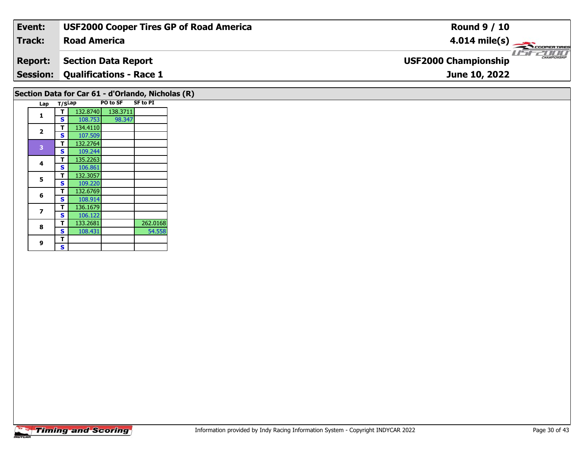| Event:                                            | <b>USF2000 Cooper Tires GP of Road America</b> | <b>Round 9 / 10</b>                                |  |  |  |  |  |  |  |
|---------------------------------------------------|------------------------------------------------|----------------------------------------------------|--|--|--|--|--|--|--|
| <b>Track:</b>                                     | <b>Road America</b>                            | $4.014 \text{ mile(s)}$                            |  |  |  |  |  |  |  |
| <b>Report:</b>                                    | <b>Section Data Report</b>                     | <b>CHAMPIONSHIP</b><br><b>USF2000 Championship</b> |  |  |  |  |  |  |  |
| <b>Session:</b>                                   | <b>Qualifications - Race 1</b>                 | June 10, 2022                                      |  |  |  |  |  |  |  |
| Section Data for Car 61 - d'Orlando, Nicholas (R) |                                                |                                                    |  |  |  |  |  |  |  |

| Lap | T/SLap |          | PO to SF | <b>SF to PI</b> |
|-----|--------|----------|----------|-----------------|
| 1   | т      | 132.8740 | 138.3711 |                 |
|     | S      | 108.753  | 98.347   |                 |
|     | т      | 134.4110 |          |                 |
| 2   | S      | 107.509  |          |                 |
| 3   | т      | 132.2764 |          |                 |
|     | S      | 109.244  |          |                 |
| 4   | т      | 135.2263 |          |                 |
|     | S      | 106.861  |          |                 |
| 5   | т      | 132.3057 |          |                 |
|     | S      | 109.220  |          |                 |
| 6   | т      | 132.6769 |          |                 |
|     | S      | 108.914  |          |                 |
| 7   | т      | 136.1679 |          |                 |
|     | S      | 106.122  |          |                 |
| 8   | т      | 133.2681 |          | 262.0168        |
|     | S      | 108.431  |          | 54.558          |
| 9   | т      |          |          |                 |
|     | S      |          |          |                 |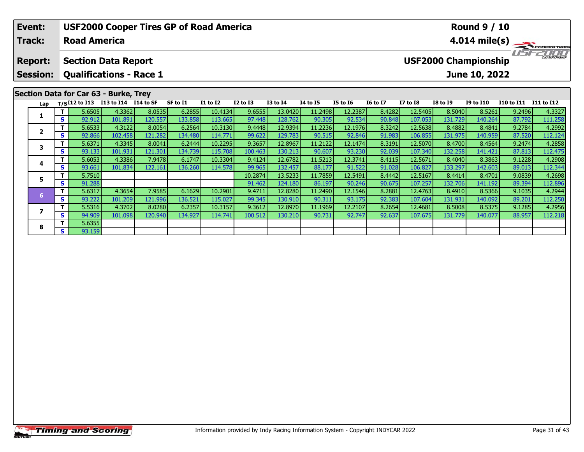| Event:                                                                                            |              |                     | <b>USF2000 Cooper Tires GP of Road America</b>  |         |          |                 |              |                 |                 |                 |                 |                                                              |                 | <b>Round 9 / 10</b> |                   |            |  |  |  |
|---------------------------------------------------------------------------------------------------|--------------|---------------------|-------------------------------------------------|---------|----------|-----------------|--------------|-----------------|-----------------|-----------------|-----------------|--------------------------------------------------------------|-----------------|---------------------|-------------------|------------|--|--|--|
| Track:                                                                                            |              | <b>Road America</b> |                                                 |         |          |                 |              |                 |                 |                 |                 | $4.014 \text{ mile(s)}$                                      |                 |                     |                   |            |  |  |  |
| <b>Section Data Report</b><br><b>Report:</b><br><b>Qualifications - Race 1</b><br><b>Session:</b> |              |                     |                                                 |         |          |                 |              |                 |                 |                 |                 | CHAMPIONSHIP<br><b>USF2000 Championship</b><br>June 10, 2022 |                 |                     |                   |            |  |  |  |
|                                                                                                   |              |                     |                                                 |         |          |                 |              |                 |                 |                 |                 |                                                              |                 |                     |                   |            |  |  |  |
|                                                                                                   |              |                     | Section Data for Car 63 - Burke, Trey           |         |          |                 |              |                 |                 |                 |                 |                                                              |                 |                     |                   |            |  |  |  |
| Lap                                                                                               |              |                     | T/SI12 to I13 I13 to I14 $\overline{114}$ to SF |         | SF to I1 | <b>I1 to I2</b> | $I2$ to $I3$ | <b>I3 to I4</b> | <b>I4 to I5</b> | <b>I5 to 16</b> | <b>16 to 17</b> | <b>I7 to I8</b>                                              | <b>I8 to I9</b> | <b>I9 to I10</b>    | <b>I10 to I11</b> | I11 to I12 |  |  |  |
|                                                                                                   |              | 5.6505              | 4.3362                                          | 8.0535  | 6.2855   | 10.4134         | 9.6555       | 13.0420         | 11.2498         | 12.2387         | 8.4282          | 12.5405                                                      | 8.5040          | 8.5261              | 9.2496            | 4.3327     |  |  |  |
|                                                                                                   | S            | 92.912              | 101.891                                         | 120.557 | 133.858  | 113.665         | 97.448       | 128.762         | 90.305          | 92.534          | 90.848          | 107.053                                                      | 131.729         | 140.264             | 87.792            | 111.258    |  |  |  |
| $\overline{2}$                                                                                    |              | 5.6533              | 4.3122                                          | 8.0054  | 6.2564   | 10.3130         | 9.4448       | 12.9394         | 11.2236         | 12.1976         | 8.3242          | 12.5638                                                      | 8.4882          | 8.4841              | 9.2784            | 4.2992     |  |  |  |
|                                                                                                   | $\mathbf{s}$ | 92.866              | 102.458                                         | 121.282 | 134.480  | 114.771         | 99.622       | 129.783         | 90.515          | 92.846          | 91.983          | 106.855                                                      | 131.975         | 140.959             | 87.520            | 112.124    |  |  |  |
| 3                                                                                                 | Τ.           | 5.6371              | 4.3345                                          | 8.0041  | 6.2444   | 10.2295         | 9.3657       | 12.8967         | 11.2122         | 12.1474         | 8.3191          | 12.5070                                                      | 8.4700          | 8.4564              | 9.2474            | 4.2858     |  |  |  |
|                                                                                                   | S l          | 93.133              | 101.931                                         | 121.301 | 134.739  | 115.708         | 100.463      | 130.213         | 90.607          | 93.230          | 92.039          | 107.340                                                      | 132.258         | 141.421             | 87.813            | 112.475    |  |  |  |
|                                                                                                   |              | 5.6053              | 4.3386                                          | 7.9478  | 6.1747   | 10.3304         | 9.4124       | 12.6782         | 11.5213         | 12.3741         | 8.4115          | 12.5671                                                      | 8.4040          | 8.3863              | 9.1228            | 4.2908     |  |  |  |
| 4                                                                                                 | S            | 93.661              | 101.834                                         | 122.161 | 136.260  | 114.578         | 99.965       | 132.457         | 88.177          | 91.522          | 91.028          | 106.827                                                      | 133.297         | 142.603             | 89.013            | 112.344    |  |  |  |
| 5                                                                                                 |              | 5.7510              |                                                 |         |          |                 | 10.2874      | 13.5233         | 11.7859         | 12.5491         | 8.4442          | 12.5167                                                      | 8.4414          | 8.4701              | 9.0839            | 4.2698     |  |  |  |
|                                                                                                   | s l          | 91.288              |                                                 |         |          |                 | 91.4621      | 124.180         | 86.197          | 90.246          | 90.675          | 107.257                                                      | 132.706         | 141.192             | 89.394            | 112.896    |  |  |  |

6 T | 5.6317 4.3654 7.9585 6.1629 10.2901 9.4711 12.8280 11.2490 12.1546 8.2881 12.4763 8.4910 8.5366 9.1035 4.2944<br>S 93.222 101.209 121.996 136.521 115.027 99.345 130.910 90.311 93.175 92.383 107.604 131.931 140.092 89.20

7 | T | 5.5316| 4.3702| 8.0280| 6.2357| 10.3157| 9.3612| 12.8970| 11.1969| 12.2107| 8.2654| 12.4681| 8.5008| 8.5375| 9.1285| 4.2956<br>7 | S | 94.909 101.098 120.940 134.927 114.741 100.512 130.210 90.731 92.747 92.637 107.67

**7**

**8**

**<sup>T</sup>** 5.6355 **<sup>S</sup>** 93.159

112.250<br>4.2956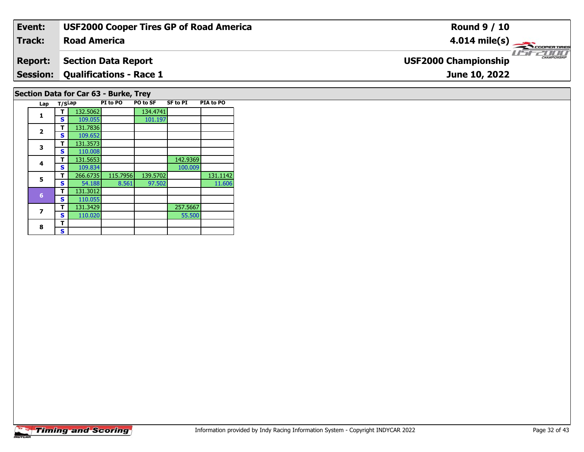| Event:                                | <b>USF2000 Cooper Tires GP of Road America</b> | <b>Round 9 / 10</b>                          |  |  |  |  |  |  |  |  |
|---------------------------------------|------------------------------------------------|----------------------------------------------|--|--|--|--|--|--|--|--|
| Track:                                | <b>Road America</b>                            | $4.014 \text{ mile(s)}$                      |  |  |  |  |  |  |  |  |
| <b>Report:</b>                        | <b>Section Data Report</b>                     | $\frac{1}{1}$<br><b>USF2000 Championship</b> |  |  |  |  |  |  |  |  |
| <b>Session:</b>                       | <b>Qualifications - Race 1</b>                 | June 10, 2022                                |  |  |  |  |  |  |  |  |
| Section Data for Car 63 - Burke, Trey |                                                |                                              |  |  |  |  |  |  |  |  |

| Lap            | T/SLap |          | PI to PO | PO to SF | SF to PI | PIA to PO |
|----------------|--------|----------|----------|----------|----------|-----------|
| $\mathbf{1}$   |        | 132.5062 |          | 134.4741 |          |           |
|                | S      | 109.055  |          | 101.197  |          |           |
| $\overline{2}$ | т      | 131.7836 |          |          |          |           |
|                | S      | 109.652  |          |          |          |           |
| 3              | т      | 131.3573 |          |          |          |           |
|                | S      | 110.008  |          |          |          |           |
| 4              | т      | 131.5653 |          |          | 142.9369 |           |
|                | S      | 109.834  |          |          | 100.009  |           |
| 5              | т      | 266.6735 | 115.7956 | 139.5702 |          | 131.1142  |
|                | S      | 54.188   | 8.561    | 97.502   |          | 11.606    |
| 6              | т      | 131.3012 |          |          |          |           |
|                | S      | 110.055  |          |          |          |           |
| 7              | т      | 131.3429 |          |          | 257.5667 |           |
|                | S      | 110.020  |          |          | 55.500   |           |
| 8              | т      |          |          |          |          |           |
|                | S      |          |          |          |          |           |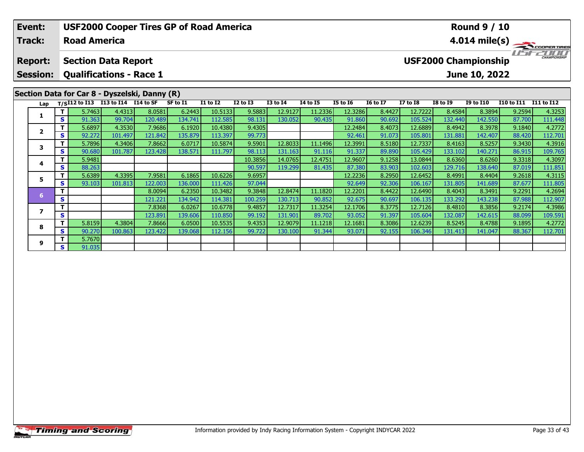| Event:<br><b>Track:</b>                                         |    | <b>Road America</b>                             |         |                                               | <b>USF2000 Cooper Tires GP of Road America</b> |          |                 |                 |                 |                 |                 |                                             |                 | <b>Round 9 / 10</b><br>4.014 mile(s) $-$ |                   | COOPERTIRES |  |
|-----------------------------------------------------------------|----|-------------------------------------------------|---------|-----------------------------------------------|------------------------------------------------|----------|-----------------|-----------------|-----------------|-----------------|-----------------|---------------------------------------------|-----------------|------------------------------------------|-------------------|-------------|--|
| <b>Section Data Report</b><br><b>Report:</b><br><b>Session:</b> |    |                                                 |         |                                               |                                                |          |                 |                 |                 |                 |                 | CHAMPIONSHIP<br><b>USF2000 Championship</b> |                 |                                          |                   |             |  |
|                                                                 |    | <b>Qualifications - Race 1</b><br>June 10, 2022 |         |                                               |                                                |          |                 |                 |                 |                 |                 |                                             |                 |                                          |                   |             |  |
|                                                                 |    |                                                 |         | Section Data for Car 8 - Dyszelski, Danny (R) |                                                |          |                 |                 |                 |                 |                 |                                             |                 |                                          |                   |             |  |
| Lap                                                             |    | $T/SI12$ to I13 I13 to I14 I14 to SF            |         |                                               | SF to I1                                       | I1 to I2 | <b>I2 to I3</b> | <b>I3 to I4</b> | <b>I4 to I5</b> | <b>I5 to I6</b> | <b>16 to 17</b> | <b>I7 to I8</b>                             | <b>I8 to 19</b> | <b>I9 to I10</b>                         | <b>I10 to I11</b> | I11 to I12  |  |
|                                                                 |    | 5.7463                                          | 4.4313  | 8.0581                                        | 6.2443                                         | 10.5133  | 9.5883          | 12.9127         | 11.2336         | 12.3286         | 8.4427          | 12.7222                                     | 8.4584          | 8.3894                                   | 9.2594            | 4.3253      |  |
|                                                                 | S  | 91.363                                          | 99.704  | 120.489                                       | 134.741                                        | 112.585  | 98.131          | 130.052         | 90.435          | 91.860          | 90.692          | 105.524                                     | 132.440         | 142.550                                  | 87.700            | 111.448     |  |
| $\overline{\mathbf{2}}$                                         |    | 5.6897                                          | 4.3530  | 7.9686                                        | 6.1920                                         | 10.4380  | 9.4305          |                 |                 | 12.2484         | 8.4073          | 12.6889                                     | 8.4942          | 8.3978                                   | 9.1840            | 4.2772      |  |
|                                                                 | S  | 92.272                                          | 101.497 | 121.842                                       | 135.879                                        | 113.397  | 99.773          |                 |                 | 92.461          | 91.073          | 105.801                                     | 131.881         | 142.407                                  | 88.420            | 112.701     |  |
| 3                                                               | T. | 5.7896                                          | 4.3406  | 7.8662                                        | 6.0717                                         | 10.5874  | 9.5901          | 12.8033         | 11.1496         | 12.3991         | 8.5180          | 12.7337                                     | 8.4163          | 8.5257                                   | 9.3430            | 4.3916      |  |
|                                                                 | S  | 90.680                                          | 101.787 | 123.428                                       | 138.571                                        | 111.797  | 98.113          | 131.163         | 91.116          | 91.337          | 89.890          | 105.429                                     | 133.102         | 140.271                                  | 86.915            | 109.765     |  |
| 4                                                               |    | 5.9481                                          |         |                                               |                                                |          | 10.3856         | 14.0765         | 12.4751         | 12.9607         | 9.1258          | 13.0844                                     | 8.6360          | 8.6260                                   | 9.3318            | 4.3097      |  |
|                                                                 | S  | 88.263                                          |         |                                               |                                                |          | 90.597          | 119.299         | 81.435          | 87.380          | 83.903          | 102.603                                     | 129.716         | 138.640                                  | 87.019            | 111.851     |  |
| 5                                                               |    | 5.6389                                          | 4.3395  | 7.9581                                        | 6.1865                                         | 10.6226  | 9.6957          |                 |                 | 12.2236         | 8.2950          | 12.6452                                     | 8.4991          | 8.4404                                   | 9.2618            | 4.3115      |  |
|                                                                 | S  | 93.103                                          | 101.813 | 122.003                                       | 136.000                                        | 111.426  | 97.044          |                 |                 | 92.649          | 92.306          | 106.167                                     | 131.805         | 141.689                                  | 87.677            | 111.805     |  |
| 6                                                               | т  |                                                 |         | 8.0094                                        | 6.2350                                         | 10.3482  | 9.3848          | 12.8474         | 11.1820         | 12.2201         | 8.4422          | 12.6490                                     | 8.4043          | 8.3491                                   | 9.2291            | 4.2694      |  |
|                                                                 | S  |                                                 |         | 121.221                                       | 134.942                                        | 114.381  | 100.259         | 130.713         | 90.852          | 92.675          | 90.697          | 106.135                                     | 133.292         | 143.238                                  | 87.988            | 112.907     |  |

**<sup>T</sup>** 7.8368 6.0267 10.6778 9.4857 12.7317 11.3254 12.1706 8.3775 12.7126 8.4810 8.3856 9.2174 4.3986 **<sup>S</sup>** 123.891 139.606 110.850 99.192 131.901 89.702 93.052 91.397 105.604 132.087 142.615 88.099 109.591

**<sup>T</sup>** 5.8159 4.3804 7.8666 6.0500 10.5535 9.4353 12.9079 11.1218 12.1681 8.3086 12.6239 8.5245 8.4788 9.1895 4.2772 **<sup>S</sup>** 90.270 100.863 123.422 139.068 112.156 99.722 130.100 91.344 93.071 92.155 106.346 131.413 141.047 88.367 112.701

**7**

**8**

**9**

**<sup>T</sup>** 5.7670 **<sup>S</sup>** 91.035

4.3986

109.591<br>4.2772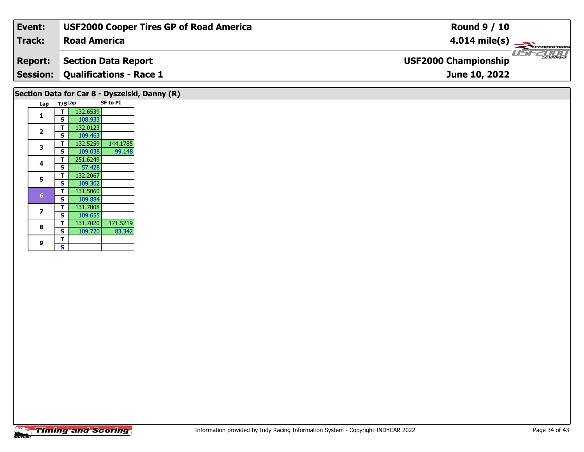| Event:                                        | <b>USF2000 Cooper Tires GP of Road America</b> | <b>Round 9 / 10</b>                                |  |  |  |  |  |  |  |
|-----------------------------------------------|------------------------------------------------|----------------------------------------------------|--|--|--|--|--|--|--|
| Track:                                        | <b>Road America</b>                            | $4.014 \text{ mile(s)}$                            |  |  |  |  |  |  |  |
| <b>Report:</b>                                | <b>Section Data Report</b>                     | <b>CHAMPIONSHIP</b><br><b>USF2000 Championship</b> |  |  |  |  |  |  |  |
|                                               | <b>Session: Qualifications - Race 1</b>        | June 10, 2022                                      |  |  |  |  |  |  |  |
| Section Data for Car 8 - Dyszelski, Danny (R) |                                                |                                                    |  |  |  |  |  |  |  |

| Lap | T/SLap                  |          | <b>SF to PI</b> |
|-----|-------------------------|----------|-----------------|
| 1   | т                       | 132.6539 |                 |
|     | S                       | 108.933  |                 |
| 2   | т                       | 132.0123 |                 |
|     | S                       | 109.463  |                 |
| 3   | т                       | 132.5259 | 144.1785        |
|     | S                       | 109.038  | 99.148          |
| 4   | т                       | 251.6249 |                 |
|     | S                       | 57.428   |                 |
| 5   | т                       | 132.2067 |                 |
|     | $\overline{\mathbf{s}}$ | 109.302  |                 |
| 6   | т                       | 131.5060 |                 |
|     | S                       | 109.884  |                 |
| 7   | т                       | 131.7808 |                 |
|     | S                       | 109.655  |                 |
| 8   | т                       | 131.7020 | 171.5219        |
|     | S                       | 109.720  | 83.342          |
| 9   | т                       |          |                 |
|     | S                       |          |                 |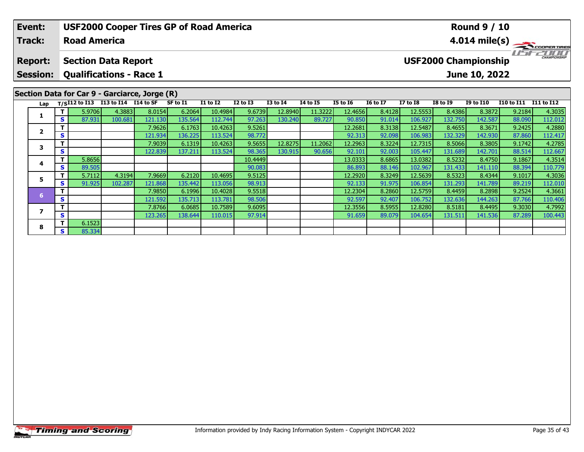| Event:                            |   |                     | <b>USF2000 Cooper Tires GP of Road America</b>               |         |          |                 |                 |                 |                 |                 |                 |                 |                 | <b>Round 9 / 10</b>                          |                   |                         |
|-----------------------------------|---|---------------------|--------------------------------------------------------------|---------|----------|-----------------|-----------------|-----------------|-----------------|-----------------|-----------------|-----------------|-----------------|----------------------------------------------|-------------------|-------------------------|
| <b>Track:</b>                     |   | <b>Road America</b> |                                                              |         |          |                 |                 |                 |                 |                 |                 |                 |                 |                                              |                   | $4.014 \text{ mile(s)}$ |
| <b>Report:</b><br><b>Session:</b> |   |                     | <b>Section Data Report</b><br><b>Qualifications - Race 1</b> |         |          |                 |                 |                 |                 |                 |                 |                 |                 | <b>USF2000 Championship</b><br>June 10, 2022 |                   | <b>CHAMPIONSHIP</b>     |
|                                   |   |                     | Section Data for Car 9 - Garciarce, Jorge (R)                |         |          |                 |                 |                 |                 |                 |                 |                 |                 |                                              |                   |                         |
| Lap                               |   |                     | $T/SI12$ to I13 I13 to I14 I14 to SF                         |         | SF to I1 | <b>I1 to I2</b> | <b>I2 to I3</b> | <b>I3 to I4</b> | <b>I4 to I5</b> | <b>I5 to 16</b> | <b>16 to 17</b> | <b>I7 to I8</b> | <b>I8 to I9</b> | <b>I9 to I10</b>                             | <b>I10 to I11</b> | I11 to I12              |
|                                   |   | 5.9706              | 4.3883                                                       | 8.0154  | 6.2064   | 10.4984         | 9.6739          | 12.8940         | 11.3222         | 12.4656         | 8.4128          | 12.5553         | 8.4386          | 8.3872                                       | 9.2184            | 4.3035                  |
|                                   | S | 87.931              | 100.681                                                      | 121.130 | 135.564  | 112.744         | 97.263          | 130.240         | 89.727          | 90.850          | 91.014          | 106.927         | 132.750         | 142.587                                      | 88.090            | 112.012                 |
| $\overline{\mathbf{2}}$           |   |                     |                                                              | 7.9626  | 6.1763   | 10.4263         | 9.5261          |                 |                 | 12.2681         | 8.3138          | 12.5487         | 8.4655          | 8.3671                                       | 9.2425            | 4.2880                  |
|                                   | S |                     |                                                              | 121.934 | 136.225  | 113.524         | 98.772          |                 |                 |                 | 92.098          |                 | 132.329         | 142.930                                      | 87.860            |                         |
|                                   |   |                     |                                                              |         |          |                 |                 |                 |                 | 92.313          |                 | 106.983         |                 |                                              |                   | 112.417                 |
|                                   |   |                     |                                                              | 7.9039  | 6.1319   | 10.4263         | 9.5655          | 12.8275         | 11.2062         | 12.2963         | 8.3224          | 12.7315         | 8.5066          | 8.3805                                       | 9.1742            | 4.2785                  |
| 3                                 | S |                     |                                                              | 122.839 | 137.211  | 113.524         | 98.365          | 130.915         | 90.656          | 92.101          | 92.003          | 105.447         | 131.689         | 142.701                                      | 88.514            | 112.667                 |
| 4                                 |   | 5.8656              |                                                              |         |          |                 | 10.4449         |                 |                 | 13.0333         | 8.6865          | 13.0382         | 8.5232          | 8.4750                                       | 9.1867            | 4.3514                  |

**<sup>T</sup>** 5.7112 4.3194 7.9669 6.2120 10.4695 9.5125 12.2920 8.3249 12.5639 8.5323 8.4344 9.1017 4.3036 **<sup>S</sup>** 91.925 102.287 121.868 135.442 113.056 98.913 92.133 91.975 106.854 131.293 141.789 89.219 112.010

**<sup>T</sup>** 7.9850 6.1996 10.4028 9.5518 12.2304 8.2860 12.5759 8.4459 8.2898 9.2524 4.3661 **<sup>S</sup>** 121.592 135.713 113.781 98.506 92.597 92.407 106.752 132.636 144.263 87.766 110.406

**<sup>T</sup>** 7.8766 6.0685 10.7589 9.6095 12.3556 8.5955 12.8280 8.5181 8.4495 9.3030 4.7992 **<sup>S</sup>** 123.265 138.644 110.015 97.914 91.659 89.079 104.654 131.511 141.536 87.289 100.443

**5**

**7**

**8**

**<sup>T</sup>** 6.1523 **<sup>S</sup>** 85.334

110.406<br>4.7992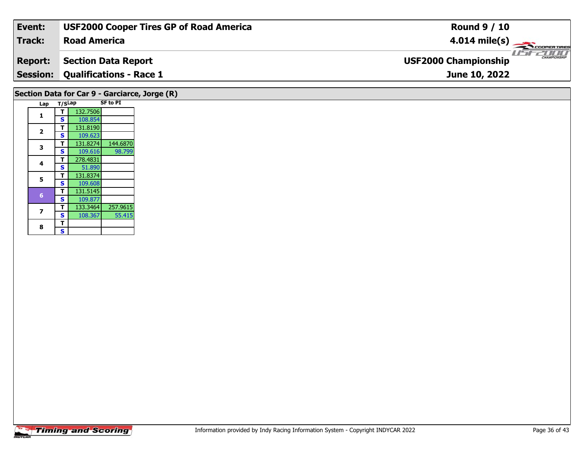| Event:                                        | <b>USF2000 Cooper Tires GP of Road America</b> | <b>Round 9 / 10</b>                                |  |  |  |  |  |  |
|-----------------------------------------------|------------------------------------------------|----------------------------------------------------|--|--|--|--|--|--|
| Track:                                        | <b>Road America</b>                            | $4.014 \text{ mile(s)}$                            |  |  |  |  |  |  |
| <b>Report:</b>                                | Section Data Report                            | <b>CHAMPIONSHIP</b><br><b>USF2000 Championship</b> |  |  |  |  |  |  |
|                                               | <b>Session: Qualifications - Race 1</b>        | June 10, 2022                                      |  |  |  |  |  |  |
| Section Data for Car 9 - Garciarce, Jorge (R) |                                                |                                                    |  |  |  |  |  |  |

| Lap            | T/SLap |          | <b>SF to PI</b> |
|----------------|--------|----------|-----------------|
| 1              |        | 132.7506 |                 |
|                | S      | 108.854  |                 |
| $\overline{2}$ | т      | 131.8190 |                 |
|                | S      | 109.623  |                 |
| 3              | т      | 131.8274 | 144.6870        |
|                | S      | 109.616  | 98.799          |
| 4              | т      | 278.4831 |                 |
|                | S      | 51.890   |                 |
| 5              | т      | 131.8374 |                 |
|                | S      | 109.608  |                 |
| 6              | т      | 131.5145 |                 |
|                | S      | 109.877  |                 |
| 7              | т      | 133.3464 | 257.9615        |
|                | S      | 108.367  | 55.415          |
| 8              | т      |          |                 |
|                | S      |          |                 |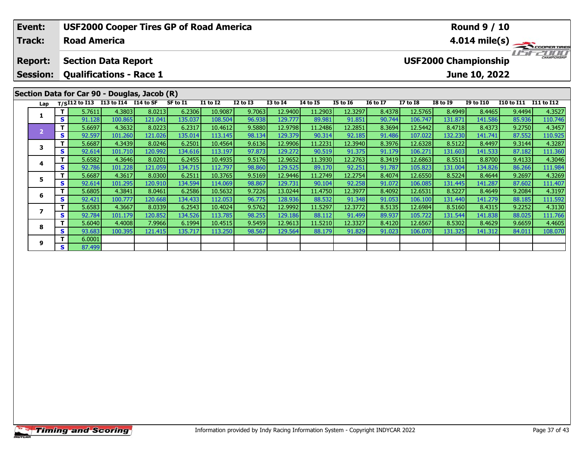|                                              | Event:<br><b>Track:</b> |                                                 | <b>Road America</b>                |         | <b>USF2000 Cooper Tires GP of Road America</b> |          |                 |                 |                 |                 |                 |                         |                 |                 | <b>Round 9 / 10</b>         |                   |                                                                                                                                                                                                                                                                                                                                                                                                                                 |  |
|----------------------------------------------|-------------------------|-------------------------------------------------|------------------------------------|---------|------------------------------------------------|----------|-----------------|-----------------|-----------------|-----------------|-----------------|-------------------------|-----------------|-----------------|-----------------------------|-------------------|---------------------------------------------------------------------------------------------------------------------------------------------------------------------------------------------------------------------------------------------------------------------------------------------------------------------------------------------------------------------------------------------------------------------------------|--|
|                                              |                         |                                                 |                                    |         |                                                |          |                 |                 |                 |                 |                 | $4.014 \text{ mile(s)}$ |                 |                 |                             |                   |                                                                                                                                                                                                                                                                                                                                                                                                                                 |  |
|                                              | <b>Report:</b>          |                                                 | <b>Section Data Report</b>         |         |                                                |          |                 |                 |                 |                 |                 |                         |                 |                 | <b>USF2000 Championship</b> |                   | $\frac{1}{\sqrt{1-\frac{1}{2}}}\frac{1}{\sqrt{1-\frac{1}{2}}}\frac{1}{\sqrt{1-\frac{1}{2}}}\frac{1}{\sqrt{1-\frac{1}{2}}}\frac{1}{\sqrt{1-\frac{1}{2}}}\frac{1}{\sqrt{1-\frac{1}{2}}}\frac{1}{\sqrt{1-\frac{1}{2}}}\frac{1}{\sqrt{1-\frac{1}{2}}}\frac{1}{\sqrt{1-\frac{1}{2}}}\frac{1}{\sqrt{1-\frac{1}{2}}}\frac{1}{\sqrt{1-\frac{1}{2}}}\frac{1}{\sqrt{1-\frac{1}{2}}}\frac{1}{\sqrt{1-\frac{1}{2}}}\frac{1}{\sqrt{1-\frac{$ |  |
|                                              | <b>Session:</b>         | <b>Qualifications - Race 1</b><br>June 10, 2022 |                                    |         |                                                |          |                 |                 |                 |                 |                 |                         |                 |                 |                             |                   |                                                                                                                                                                                                                                                                                                                                                                                                                                 |  |
| Section Data for Car 90 - Douglas, Jacob (R) |                         |                                                 |                                    |         |                                                |          |                 |                 |                 |                 |                 |                         |                 |                 |                             |                   |                                                                                                                                                                                                                                                                                                                                                                                                                                 |  |
|                                              | Lap                     |                                                 | T/SI12 to I13 I13 to I14 I14 to SF |         |                                                | SF to I1 | <b>I1 to I2</b> | <b>I2 to I3</b> | <b>I3 to I4</b> | <b>14 to 15</b> | <b>I5 to 16</b> | <b>16 to 17</b>         | <b>I7 to I8</b> | <b>I8 to 19</b> | <b>I9 to I10</b>            | <b>I10 to I11</b> | <b>I11 to I12</b>                                                                                                                                                                                                                                                                                                                                                                                                               |  |
|                                              | 1                       |                                                 | 5.7611                             | 4.3803  | 8.0213                                         | 6.2306   | 10.9087         | 9.7063          | 12.9400         | 11.2903         | 12.3297         | 8.4378                  | 12.5765         | 8.4949          | 8.4465                      | 9.4494            | 4.3527                                                                                                                                                                                                                                                                                                                                                                                                                          |  |
|                                              |                         | S                                               | 91.128                             | 100.865 | 121.041                                        | 135.037  | 108.504         | 96.938          | 129.777         | 89.981          | 91.851          | 90.744                  | 106.747         | 131.871         | 141.586                     | 85.936            | 110.746                                                                                                                                                                                                                                                                                                                                                                                                                         |  |
|                                              | $\overline{2}$          | T.                                              | 5.6697                             | 4.3632  | 8.0223                                         | 6.2317   | 10.4612         | 9.5880          | 12.9798         | 11.2486         | 12.2851         | 8.3694                  | 12.5442         | 8.4718          | 8.4373                      | 9.2750            | 4.3457                                                                                                                                                                                                                                                                                                                                                                                                                          |  |
|                                              |                         | S <sub>1</sub>                                  | 92.597                             | 101.260 | 121.026                                        | 135.014  | 113.145         | 98.134          | 129.379         | 90.314          | 92.185          | 91.486                  | 107.022         | 132.230         | 141.741                     | 87.552            | 110.925                                                                                                                                                                                                                                                                                                                                                                                                                         |  |
|                                              | 3                       | Τ.                                              | 5.6687                             | 4.3439  | 8.0246                                         | 6.2501   | 10.4564         | 9.6136          | 12.9906         | 11.2231         | 12.3940         | 8.3976                  | 12.6328         | 8.5122          | 8.4497                      | 9.3144            | 4.3287                                                                                                                                                                                                                                                                                                                                                                                                                          |  |
|                                              |                         | S.                                              | 92.614                             | 101.710 | 120.992                                        | 134.616  | 113.197         | 97.873          | 129.272         | 90.519          | 91.375          | 91.179                  | 106.271         | 131.603         | 141.533                     | 87.182            | 111.360                                                                                                                                                                                                                                                                                                                                                                                                                         |  |
|                                              | 4                       |                                                 | 5.6582                             | 4.3646  | 8.0201                                         | 6.2455   | 10.4935         | 9.5176          | 12.9652         | 11.3930         | 12.2763         | 8.3419                  | 12.6863         | 8.5511          | 8.8700                      | 9.4133            | 4.3046                                                                                                                                                                                                                                                                                                                                                                                                                          |  |
|                                              |                         | S.                                              | 92.786                             | 101.228 | 121.059                                        | 134.715  | 112.797         | 98.860          | 129.525         | 89.170          | 92.251          | 91.787                  | 105.823         | 131.004         | 134.826                     | 86.266            | 111.984                                                                                                                                                                                                                                                                                                                                                                                                                         |  |
|                                              | 5                       | T.                                              | 5.6687                             | 4.3617  | 8.0300                                         | 6.2511   | 10.3765         | 9.5169          | 12.9446         | 11.2749         | 12.2754         | 8.4074                  | 12.6550         | 8.5224          | 8.4644                      | 9.2697            | 4.3269                                                                                                                                                                                                                                                                                                                                                                                                                          |  |
|                                              |                         | S.                                              | 92.614                             | 101.295 | 120.910                                        | 134.594  | 114.069         | 98.867          | 129.731         | 90.104          | 92.258          | 91.072                  | 106.085         | 131.445         | 141.287                     | 87.602            | 111.407                                                                                                                                                                                                                                                                                                                                                                                                                         |  |
|                                              | 6                       |                                                 | 5.6805                             | 4.3841  | 8.0461                                         | 6.2586   | 10.5632         | 9.7226          | 13.0244         | 11.4750         | 12.3977         | 8.4092                  | 12.6531         | 8.5227          | 8.4649                      | 9.2084            | 4.3197                                                                                                                                                                                                                                                                                                                                                                                                                          |  |
|                                              |                         | S.                                              | 92.421                             | 100.777 | 120.668                                        | 134.433  | 112.053         | 96.775          | 128.936         | 88.532          | 91.348          | 91.053                  | 106.100         | 131.440         | 141.279                     | 88.185            | 111.592                                                                                                                                                                                                                                                                                                                                                                                                                         |  |
|                                              | 7                       | Τ.                                              | 5.6583                             | 4.3667  | 8.0339                                         | 6.2543   | 10.4024         | 9.5762          | 12.9992         | 11.5297         | 12.3772         | 8.5135                  | 12.6984         | 8.5160          | 8.4315                      | 9.2252            | 4.3130                                                                                                                                                                                                                                                                                                                                                                                                                          |  |
|                                              |                         | S.                                              | 92.784                             | 101.179 | 120.852                                        | 134.526  | 113.785         | 98.255          | 129.186         | 88.112          | 91.499          | 89.937                  | 105.722         | 131.544         | 141.838                     | 88.025            | 111.766                                                                                                                                                                                                                                                                                                                                                                                                                         |  |
|                                              | $\sim$                  | Τŀ                                              | 5.6040                             | 4.4008  | 7.99661                                        | 6.1994   | 10.4515         | 9.5459          | 12.9613         | 11.5210         | 12.3327         | 8.4120                  | 12.6567         | 8.5302          | 8.4629                      | 9.6659            | 4.4605                                                                                                                                                                                                                                                                                                                                                                                                                          |  |

8 T | 5.6040 4.4008 7.9966 6.1994 10.4515 9.5459 12.9613 11.5210 12.3327 8.4120 12.6567 8.5302 8.4629 9.6659 4.4605<br>S S 93.683 100.395 121.415 135.717 113.250 98.567 129.564 88.179 91.829 91.023 106.070 131.325 141.312 84.

**8**

**9**

**<sup>T</sup>** 6.0001 **<sup>S</sup>** 87.499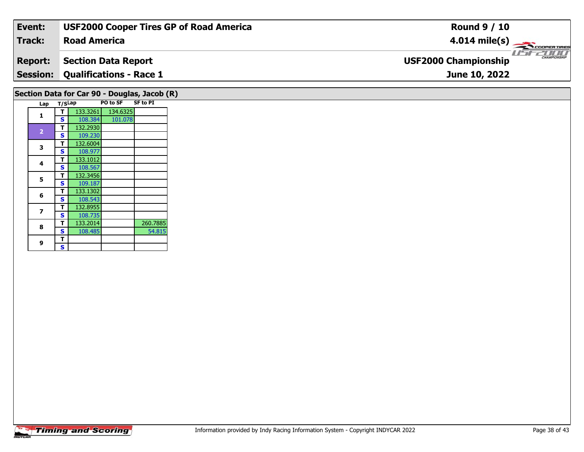| Event:                                       | <b>USF2000 Cooper Tires GP of Road America</b> | <b>Round 9 / 10</b>                                |  |  |  |  |  |  |
|----------------------------------------------|------------------------------------------------|----------------------------------------------------|--|--|--|--|--|--|
| <b>Track:</b>                                | <b>Road America</b>                            | $4.014 \text{ mile(s)}$                            |  |  |  |  |  |  |
| <b>Report:</b>                               | <b>Section Data Report</b>                     | <b>CHAMPIONSHIP</b><br><b>USF2000 Championship</b> |  |  |  |  |  |  |
|                                              | <b>Session: Qualifications - Race 1</b>        | June 10, 2022                                      |  |  |  |  |  |  |
| Section Data for Car 90 - Douglas, Jacob (R) |                                                |                                                    |  |  |  |  |  |  |

| Lap            | T/SLap |          | PO to SF | <b>SF to PI</b> |
|----------------|--------|----------|----------|-----------------|
| 1              | т      | 133.3261 | 134.6325 |                 |
|                | S      | 108.384  | 101.078  |                 |
|                | т      | 132.2930 |          |                 |
| $\overline{2}$ | S      | 109.230  |          |                 |
|                | т      | 132.6004 |          |                 |
| 3              | S      | 108.977  |          |                 |
| 4              | т      | 133.1012 |          |                 |
|                | S      | 108.567  |          |                 |
| 5              | т      | 132.3456 |          |                 |
|                | S      | 109.187  |          |                 |
| 6              | т      | 133.1302 |          |                 |
|                | S      | 108.543  |          |                 |
| 7              | т      | 132.8955 |          |                 |
|                | S      | 108.735  |          |                 |
| 8              | т      | 133.2014 |          | 260.7885        |
|                | S      | 108.485  |          | 54.815          |
|                | т      |          |          |                 |
| 9              | S      |          |          |                 |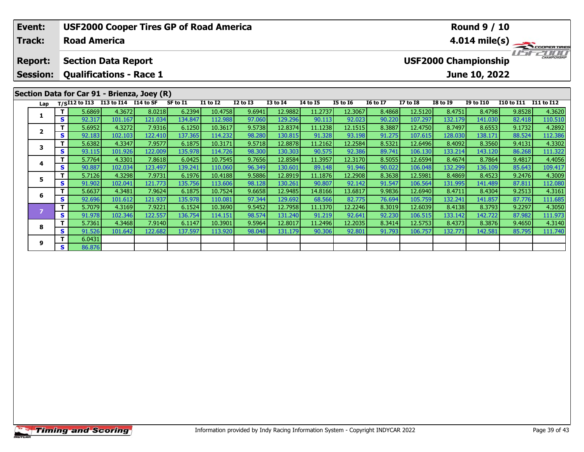| Event:          |                                                 | <b>USF2000 Cooper Tires GP of Road America</b><br><b>Round 9 / 10</b> |                                             |           |          |                 |                 |                 |          |                 |                         |                 |                 |                             |                       |                    |
|-----------------|-------------------------------------------------|-----------------------------------------------------------------------|---------------------------------------------|-----------|----------|-----------------|-----------------|-----------------|----------|-----------------|-------------------------|-----------------|-----------------|-----------------------------|-----------------------|--------------------|
| Track:          |                                                 | <b>Road America</b>                                                   |                                             |           |          |                 |                 |                 |          |                 | $4.014 \text{ mile(s)}$ |                 |                 |                             |                       |                    |
| <b>Report:</b>  |                                                 |                                                                       | <b>Section Data Report</b>                  |           |          |                 |                 |                 |          |                 |                         |                 |                 | <b>USF2000 Championship</b> | ' ISF                 | <b>EXAMPLE AND</b> |
| <b>Session:</b> | <b>Qualifications - Race 1</b><br>June 10, 2022 |                                                                       |                                             |           |          |                 |                 |                 |          |                 |                         |                 |                 |                             |                       |                    |
|                 |                                                 |                                                                       | Section Data for Car 91 - Brienza, Joey (R) |           |          |                 |                 |                 |          |                 |                         |                 |                 |                             |                       |                    |
| Lap             |                                                 | $T/SI12$ to $I13$                                                     | I13 to I14                                  | I14 to SF | SF to I1 | <b>I1 to I2</b> | <b>I2 to I3</b> | <b>I3 to I4</b> | 14 to 15 | <b>I5 to 16</b> | <b>16 to 17</b>         | <b>I7 to I8</b> | <b>I8 to 19</b> | <b>I9 to I10</b>            | I10 to I11 I11 to I12 |                    |
| 1               |                                                 | 5.6869                                                                | 4.3672                                      | 8.0218    | 6.2394   | 10.4758         | 9.6941          | 12.9882         | 11.2737  | 12.3067         | 8.4868                  | 12.5120         | 8.4751          | 8.4798                      | 9.8528                | 4.3620             |
|                 | <b>S</b>                                        | 92.317                                                                | 101.167                                     | 121.034   | 134.847  | 112.988         | 97.060          | 129.296         | 90.113   | 92.023          | 90.220                  | 107.297         | 132.179         | 141.030                     | 82.418                | 110.510            |
| $\overline{2}$  |                                                 | 5.6952                                                                | 4.3272                                      | 7.9316    | 6.1250   | 10.3617         | 9.5738          | 12.8374         | 11.1238  | 12.1515         | 8.3887                  | 12.4750         | 8.7497          | 8.6553                      | 9.1732                | 4.2892             |
|                 | <b>S</b>                                        | 92.183                                                                | 102.103                                     | 122.410   | 137.365  | 114.232         | 98.280          | 130.815         | 91.328   | 93.198          | 91.275                  | 107.615         | 128.030         | 138.171                     | 88.524                | 112.386            |
| 3               | Τ.                                              | 5.6382                                                                | 4.3347                                      | 7.9577    | 6.1875   | 10.3171         | 9.5718          | 12.8878         | 11.2162  | 12.2584         | 8.5321                  | 12.6496         | 8.4092          | 8.3560                      | 9.4131                | 4.3302             |
|                 | <b>S</b>                                        | 93.115                                                                | 101.926                                     | 122.009   | 135.978  | 114.726         | 98.300          | 130.303         | 90.575   | 92.386          | 89.741                  | 106.130         | 133.214         | 143.120                     | 86.268                | 111.322            |
| 4               | T.                                              | 5.7764                                                                | 4.3301                                      | 7.8618    | 6.0425   | 10.7545         | 9.7656          | 12.8584         | 11.3957  | 12.3170         | 8.5055                  | 12.6594         | 8.4674          | 8.7864                      | 9.4817                | 4.4056             |
|                 | S                                               | 90.887                                                                | 102.034                                     | 123.497   | 139.241  | 110.060         | 96.349          | 130.601         | 89.148   | 91.946          | 90.022                  | 106.048         | 132.299         | 136.109                     | 85.643                | 109.417            |
| 5               | т                                               | 5.7126                                                                | 4.3298                                      | 7.9731    | 6.1976   | 10.4188         | 9.5886          | 12.8919         | 11.1876  | 12.2908         | 8.3638                  | 12.5981         | 8.4869          | 8.4523                      | 9.2476                | 4.3009             |
|                 | S.                                              | 91.902                                                                | 102.041                                     | 121.773   | 135.756  | 113.606         | 98.128          | 130.261         | 90.807   | 92.142          | 91.547                  | 106.564         | 131.995         | 141.489                     | 87.811                | 112.080            |
| 6               | т                                               | 5.6637                                                                | 4.3481                                      | 7.9624    | 6.1875   | 10.7524         | 9.6658          | 12.9485         | 14.8166  | 13.6817         | 9.9836                  | 12.6940         | 8.4711          | 8.4304                      | 9.2513                | 4.3161             |
|                 | <b>S</b>                                        | 92.696                                                                | 101.612                                     | 121.937   | 135.978  | 110.081         | 97.344          | 129.692         | 68.566   | 82.775          | 76.694                  | 105.759         | 132.241         | 141.857                     | 87.776                | 111.685            |
| $\overline{z}$  |                                                 | 5.7079                                                                | 4.3169                                      | 7.9221    | 6.1524   | 10.3690         | 9.5452          | 12.7958         | 11.1370  | 12.2246         | 8.3019                  | 12.6039         | 8.4138          | 8.3793                      | 9.2297                | 4.3050             |
|                 | S.                                              | 91.978                                                                | 102.346                                     | 122.557   | 136.754  | 114.151         | 98.574          | 131.240         | 91.219   | 92.641          | 92.230                  | 106.515         | 133.142         | 142.722                     | 87.982                | 111.973            |
| 8               |                                                 | 5.7361                                                                | 4.3468                                      | 7.9140    | 6.1147   | 10.3901         | 9.5964          | 12.8017         | 11.2496  | 12.2035         | 8.3414                  | 12.5753         | 8.4373          | 8.3876                      | 9.4650                | 4.3140             |
|                 | S.                                              | 91.526                                                                | 101.642                                     | 122.682   | 137.597  | 113.920         | 98.048          | 131.179         | 90.306   | 92.801          | 91.793                  | 106.757         | 132.771         | 142.581                     | 85.795                | 111.740            |

**9**

**<sup>T</sup>** 6.0431 **<sup>S</sup>** 86.876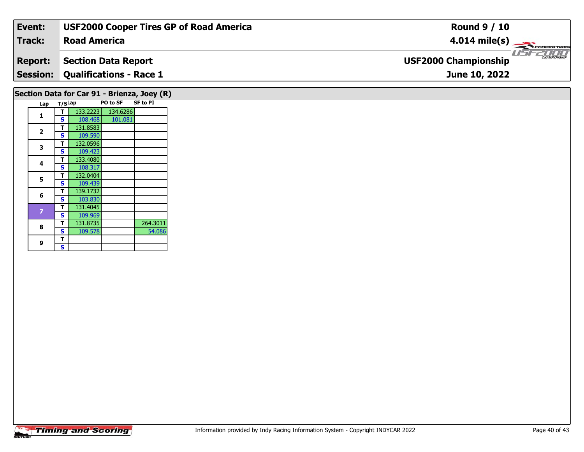| Event:                                      | <b>USF2000 Cooper Tires GP of Road America</b> | <b>Round 9 / 10</b>                                |  |  |  |  |  |  |
|---------------------------------------------|------------------------------------------------|----------------------------------------------------|--|--|--|--|--|--|
| <b>Track:</b>                               | <b>Road America</b>                            | $4.014 \text{ mile(s)}$                            |  |  |  |  |  |  |
| <b>Report:</b>                              | <b>Section Data Report</b>                     | <b>CHAMPIONSHIP</b><br><b>USF2000 Championship</b> |  |  |  |  |  |  |
|                                             | <b>Session: Qualifications - Race 1</b>        | June 10, 2022                                      |  |  |  |  |  |  |
| Section Data for Car 91 - Brienza, Joey (R) |                                                |                                                    |  |  |  |  |  |  |

| Lap | T/SLap |          | <b>PO to SF</b> | <b>SF to PI</b> |
|-----|--------|----------|-----------------|-----------------|
|     | т      | 133.2223 | 134.6286        |                 |
| 1   | S      | 108.468  | 101.081         |                 |
|     | т      | 131.8583 |                 |                 |
| 2   | S      | 109.590  |                 |                 |
| 3   | т      | 132.0596 |                 |                 |
|     | S      | 109.423  |                 |                 |
| 4   | т      | 133.4080 |                 |                 |
|     | S      | 108.317  |                 |                 |
| 5   | т      | 132.0404 |                 |                 |
|     | S      | 109.439  |                 |                 |
| 6   | т      | 139.1732 |                 |                 |
|     | S      | 103.830  |                 |                 |
| 7   | т      | 131.4045 |                 |                 |
|     | S      | 109.969  |                 |                 |
| 8   | т      | 131.8735 |                 | 264.3011        |
|     | S      | 109.578  |                 | 54.086          |
| 9   | т      |          |                 |                 |
|     | S      |          |                 |                 |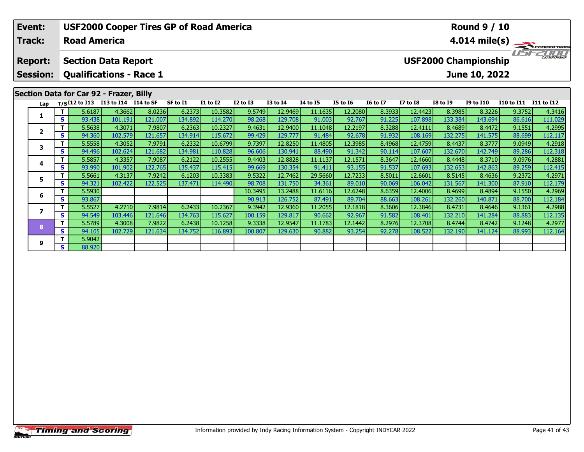| Event:<br>Track:                  |     |                                                                                            | <b>USF2000 Cooper Tires GP of Road America</b><br><b>Round 9 / 10</b><br><b>Road America</b><br>$4.014 \text{ mile(s)}$ |         |          |                 |              |                 |                 |                 |                 |                 |                             |                  |                   |                     |
|-----------------------------------|-----|--------------------------------------------------------------------------------------------|-------------------------------------------------------------------------------------------------------------------------|---------|----------|-----------------|--------------|-----------------|-----------------|-----------------|-----------------|-----------------|-----------------------------|------------------|-------------------|---------------------|
| <b>Report:</b><br><b>Session:</b> |     | <b>Section Data Report</b><br><b>Qualifications - Race 1</b>                               |                                                                                                                         |         |          |                 |              |                 |                 |                 |                 |                 | <b>USF2000 Championship</b> | June 10, 2022    |                   | <b>CHAMPIONSHIP</b> |
| Lap                               |     | Section Data for Car 92 - Frazer, Billy<br>T/SI12 to I13 I13 to I14 $\overline{114}$ to SF |                                                                                                                         |         | SF to I1 | <b>I1 to I2</b> | $I2$ to $I3$ | <b>I3 to I4</b> | <b>I4 to I5</b> | <b>I5 to 16</b> | <b>16 to 17</b> | <b>I7 to I8</b> | <b>I8 to I9</b>             | <b>I9 to I10</b> | <b>I10 to I11</b> | I11 to I12          |
|                                   |     | 5.6187                                                                                     | 4.3662                                                                                                                  | 8.0236  | 6.2373   | 10.3582         | 9.5749       | 12.9469         | 11.1635         | 12.2080         | 8.3933          | 12.4423         | 8.3985                      | 8.3226           | 9.3752            | 4.3416              |
|                                   | S I | 93.438                                                                                     | 101.191                                                                                                                 | 121.007 | 134.892  | 114.270         | 98.268       | 129.708         | 91.003          | 92.767          | 91.225          | 107.898         | 133.384                     | 143.694          | 86.616            | 111.029             |
| $\mathbf{2}$                      |     | 5.5638                                                                                     | 4.3071                                                                                                                  | 7.9807  | 6.2363   | 10.2327         | 9.4631       | 12.9400         | 11.1048         | 12.2197         | 8.3288          | 12.4111         | 8.4689                      | 8.4472           | 9.1551            | 4.2995              |
|                                   | S   | 94.360                                                                                     | 102.579                                                                                                                 | 121.657 | 134.914  | 115.672         | 99.429       | 129.777         | 91.484          | 92.678          | 91.932          | 108.169         | 132.275                     | 141.575          | 88.699            | 112.117             |
| 3                                 | Τ.  | 5.5558                                                                                     | 4.3052                                                                                                                  | 7.9791  | 6.2332   | 10.6799         | 9.7397       | 12.8250         | 11.4805         | 12.3985         | 8.4968          | 12.4759         | 8.4437                      | 8.3777           | 9.0949            | 4.2918              |
|                                   | S.  | 94.496                                                                                     | 102.624                                                                                                                 | 121.682 | 134.981  | 110.828         | 96.606       | 130.941         | 88.490          | 91.342          | 90.114          | 107.607         | 132.670                     | 142.749          | 89.286            | 112.318             |
| 4                                 |     | 5.5857                                                                                     | 4.3357                                                                                                                  | 7.9087  | 6.2122   | 10.2555         | 9.4403       | 12.8828         | 11.1137         | 12.1571         | 8.3647          | 12.4660         | 8.4448                      | 8.3710           | 9.0976            | 4.2881              |
|                                   | s l | 93.990                                                                                     | 101.902                                                                                                                 | 122.765 | 135.437  | 115.415         | 99.669       | 130.354         | 91.411          | 93.155          | 91.537          | 107.693         | 132.653                     | 142.863          | 89.259            | 112.415             |
| 5                                 |     | 5.5661                                                                                     | 4.3137                                                                                                                  | 7.9242  | 6.1203   | 10.3383         | 9.5322       | 12.7462         | 29.5660         | 12.7233         | 8.5011          | 12.6601         | 8.5145                      | 8.4636           | 9.2372            | 4.2971              |
|                                   | S   | 94.321                                                                                     | 102.422                                                                                                                 | 122.525 | 137.471  | 114.490         | 98.708       | 131.750         | 34.361          | 89.010          | 90.069          | 106.042         | 131.567                     | 141.300          | 87.910            | 112.179             |
| 6                                 |     | 5.5930                                                                                     |                                                                                                                         |         |          |                 | 10.3495      | 13.2488         | 11.6116         | 12.6248         | 8.6359          | 12.4006         | 8.4699                      | 8.4894           | 9.1550            | 4.2969              |
|                                   | s l | 93.867                                                                                     |                                                                                                                         |         |          |                 | 90.913       | 126.752         | 87.491          | 89.704          | 88.663          | 108.261         | 132.260                     | 140.871          | 88.700            | 112.184             |

7 | T | 5.5527| 4.2710| 7.9814| 6.2433| 10.2367| 9.3942| 12.9360| 11.2055| 12.1818| 8.3606| 12.3846| 8.4731| 8.4646| 9.1361| 4.2988<br>7 | S | 94.549 103.446 121.646 134.763 115.627 100.159 129.817 90.662 92.967 91.582 108.40

8 T | 5.5789 4.3008 7.9822 6.2438 10.1258 9.3338 12.9547 11.1783 12.1442 8.2976 12.3708 8.4744 8.4742 9.1248 4.2977<br>8 S 94.105 102.729 121.634 134.752 116.893 100.807 129.630 90.882 93.254 92.278 108.522 132.190 141.124 88

**7**

**8**

**9**

**<sup>T</sup>** 5.9042 **<sup>S</sup>** 88.920

4.2988

112.135<br>4.2977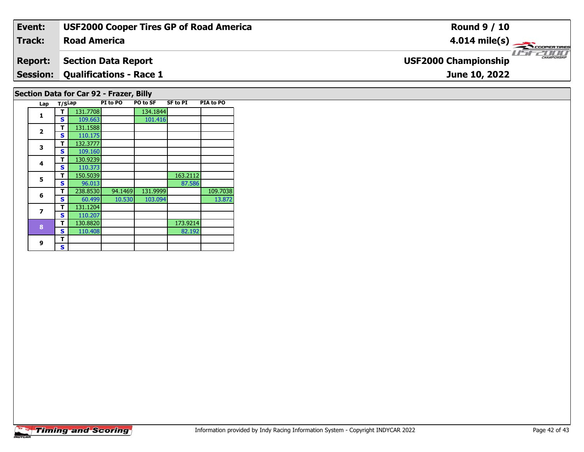| Event:          | <b>USF2000 Cooper Tires GP of Road America</b>                                                  | <b>Round 9 / 10</b>                                     |
|-----------------|-------------------------------------------------------------------------------------------------|---------------------------------------------------------|
| <b>Track:</b>   | <b>Road America</b>                                                                             | $4.014 \text{ mile(s)}$                                 |
| <b>Report:</b>  | <b>Section Data Report</b>                                                                      | <b>LISE CHAMPIONSHIP</b><br><b>USF2000 Championship</b> |
| <b>Session:</b> | <b>Qualifications - Race 1</b>                                                                  | June 10, 2022                                           |
| $1 - r$ $T/dm$  | Section Data for Car 92 - Frazer, Billy<br>DTA to DO<br>DT to DO<br>DO to CE<br><b>CE to DT</b> |                                                         |

| Lap                     | T/SLap |          | PI to PO | PO to SF | SF to PI | <b>PIA to PO</b> |
|-------------------------|--------|----------|----------|----------|----------|------------------|
| 1                       | т      | 131.7708 |          | 134.1844 |          |                  |
|                         | S      | 109.663  |          | 101.416  |          |                  |
| $\overline{\mathbf{2}}$ | т      | 131.1588 |          |          |          |                  |
|                         | S      | 110.175  |          |          |          |                  |
| 3                       | т      | 132.3777 |          |          |          |                  |
|                         | S      | 109.160  |          |          |          |                  |
| 4                       | т      | 130.9239 |          |          |          |                  |
|                         | S      | 110.373  |          |          |          |                  |
| 5                       | т      | 150.5039 |          |          | 163.2112 |                  |
|                         | S      | 96.013   |          |          | 87.586   |                  |
| 6                       | т      | 238.8530 | 94.1469  | 131.9999 |          | 109.7038         |
|                         | S      | 60.499   | 10.530   | 103.094  |          | 13.872           |
| $\overline{\mathbf{z}}$ | т      | 131.1204 |          |          |          |                  |
|                         | S      | 110.207  |          |          |          |                  |
| 8                       | т      | 130.8820 |          |          | 173.9214 |                  |
|                         | S      | 110.408  |          |          | 82.192   |                  |
| 9                       | т      |          |          |          |          |                  |
|                         | S      |          |          |          |          |                  |